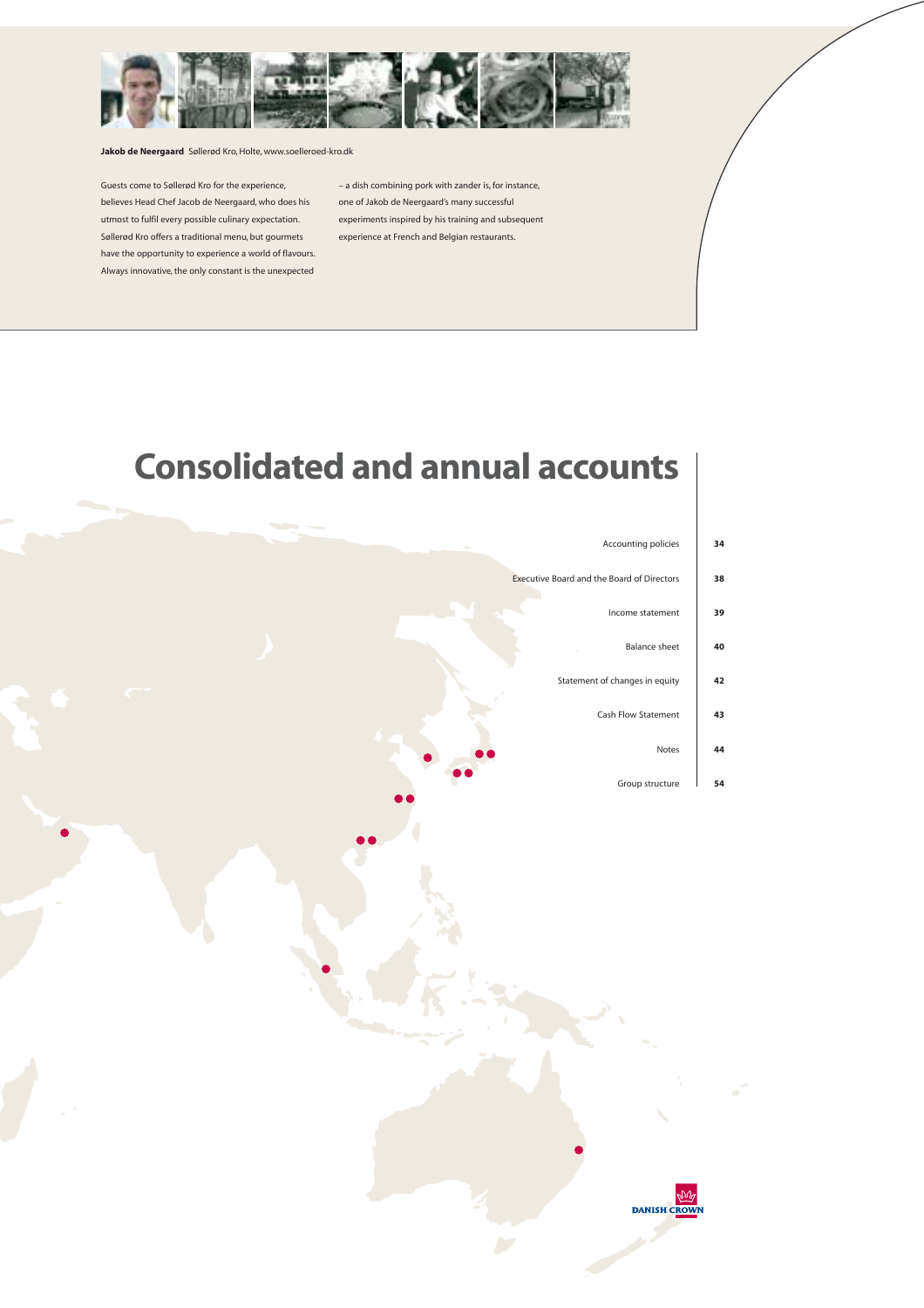

**Jakob de Neergaard** Søllerød Kro, Holte, www.soelleroed-kro.dk

Guests come to Søllerød Kro for the experience, believes Head Chef Jacob de Neergaard, who does his utmost to fulfil every possible culinary expectation. Søllerød Kro offers a traditional menu, but gourmets have the opportunity to experience a world of flavours. Always innovative, the only constant is the unexpected

– a dish combining pork with zander is, for instance, one of Jakob de Neergaard's many successful experiments inspired by his training and subsequent experience at French and Belgian restaurants.

# **Consolidated and annual accounts**

| 34 | Accounting policies<br>÷.                  |
|----|--------------------------------------------|
| 38 | Executive Board and the Board of Directors |
| 39 | Income statement                           |
| 40 | <b>Balance sheet</b>                       |
| 42 | Statement of changes in equity             |
| 43 | <b>Cash Flow Statement</b>                 |
| 44 | <b>Notes</b>                               |
| 54 | Group structure                            |

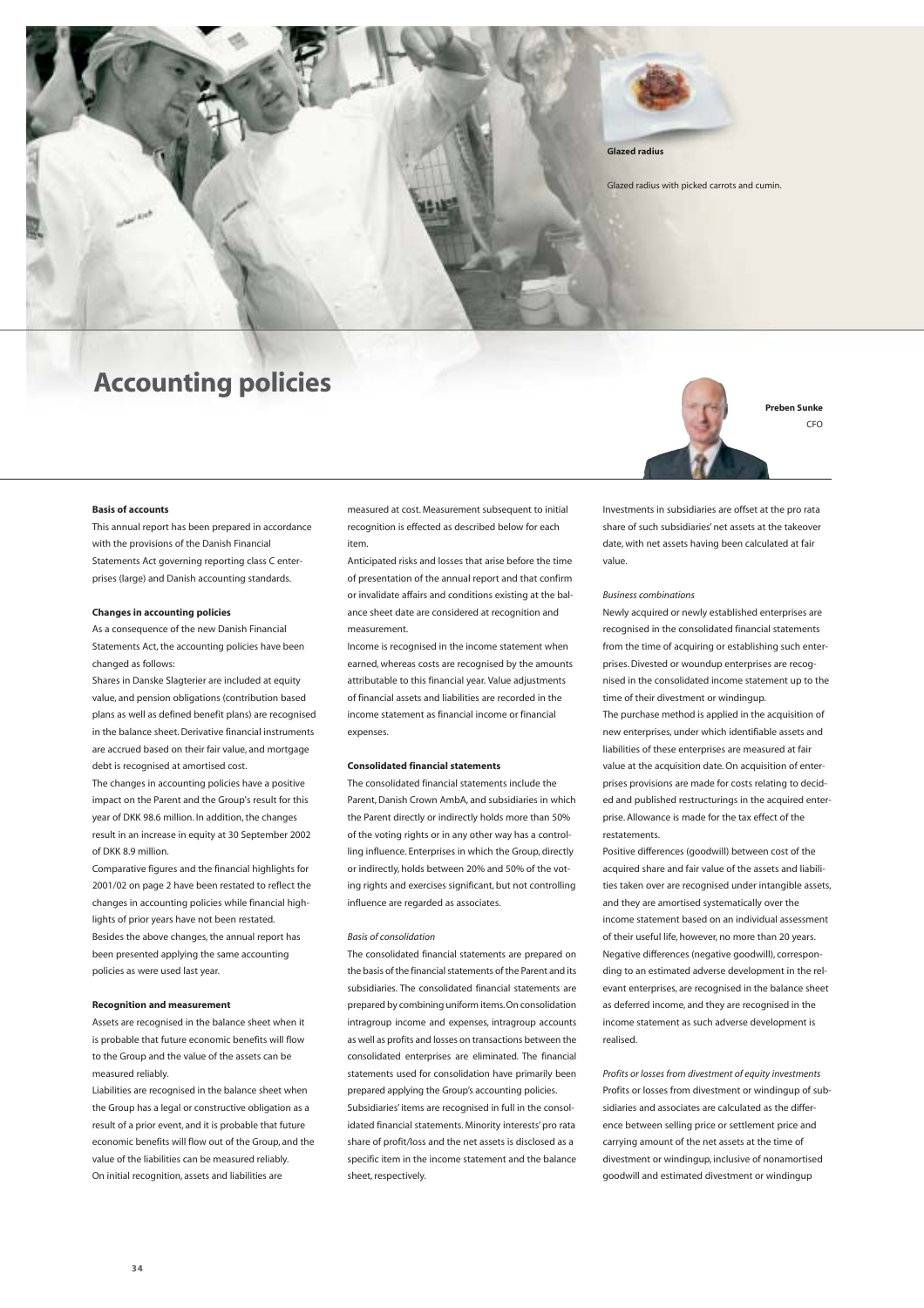

### **Accounting policies**



 $CFO$ 

#### **Basis of accounts**

This annual report has been prepared in accordance with the provisions of the Danish Financial Statements Act governing reporting class C enterprises (large) and Danish accounting standards.

#### **Changes in accounting policies**

As a consequence of the new Danish Financial Statements Act, the accounting policies have been changed as follows:

Shares in Danske Slagterier are included at equity value, and pension obligations (contribution based plans as well as defined benefit plans) are recognised in the balance sheet. Derivative financial instruments are accrued based on their fair value, and mortgage debt is recognised at amortised cost.

The changes in accounting policies have a positive impact on the Parent and the Group's result for this year of DKK 98.6 million. In addition, the changes result in an increase in equity at 30 September 2002 of DKK 8.9 million.

Comparative figures and the financial highlights for 2001/02 on page 2 have been restated to reflect the changes in accounting policies while financial highlights of prior years have not been restated. Besides the above changes, the annual report has been presented applying the same accounting policies as were used last year.

#### **Recognition and measurement**

Assets are recognised in the balance sheet when it is probable that future economic benefits will flow to the Group and the value of the assets can be measured reliably.

Liabilities are recognised in the balance sheet when the Group has a legal or constructive obligation as a result of a prior event, and it is probable that future economic benefits will flow out of the Group, and the value of the liabilities can be measured reliably. On initial recognition, assets and liabilities are

measured at cost. Measurement subsequent to initial recognition is effected as described below for each item.

Anticipated risks and losses that arise before the time of presentation of the annual report and that confirm or invalidate affairs and conditions existing at the balance sheet date are considered at recognition and measurement.

Income is recognised in the income statement when earned, whereas costs are recognised by the amounts attributable to this financial year. Value adjustments of financial assets and liabilities are recorded in the income statement as financial income or financial expenses.

#### **Consolidated financial statements**

The consolidated financial statements include the Parent, Danish Crown AmbA, and subsidiaries in which the Parent directly or indirectly holds more than 50% of the voting rights or in any other way has a controlling influence. Enterprises in which the Group, directly or indirectly, holds between 20% and 50% of the voting rights and exercises significant, but not controlling influence are regarded as associates.

#### *Basis of consolidation*

The consolidated financial statements are prepared on the basis of the financial statements of the Parent and its subsidiaries. The consolidated financial statements are prepared by combining uniform items.On consolidation intragroup income and expenses, intragroup accounts as well as profits and losses on transactions between the consolidated enterprises are eliminated. The financial statements used for consolidation have primarily been prepared applying the Group's accounting policies. Subsidiaries' items are recognised in full in the consolidated financial statements. Minority interests' pro rata share of profit/loss and the net assets is disclosed as a specific item in the income statement and the balance sheet, respectively.

Investments in subsidiaries are offset at the pro rata share of such subsidiaries' net assets at the takeover date, with net assets having been calculated at fair value.

#### *Business combinations*

Newly acquired or newly established enterprises are recognised in the consolidated financial statements from the time of acquiring or establishing such enterprises. Divested or woundup enterprises are recognised in the consolidated income statement up to the time of their divestment or windingup.

The purchase method is applied in the acquisition of new enterprises, under which identifiable assets and liabilities of these enterprises are measured at fair value at the acquisition date. On acquisition of enterprises provisions are made for costs relating to decided and published restructurings in the acquired enterprise. Allowance is made for the tax effect of the restatements

Positive differences (goodwill) between cost of the acquired share and fair value of the assets and liabilities taken over are recognised under intangible assets, and they are amortised systematically over the income statement based on an individual assessment of their useful life, however, no more than 20 years. Negative differences (negative goodwill), corresponding to an estimated adverse development in the relevant enterprises, are recognised in the balance sheet as deferred income, and they are recognised in the income statement as such adverse development is realised.

*Profits or losses from divestment of equity investments* Profits or losses from divestment or windingup of subsidiaries and associates are calculated as the difference between selling price or settlement price and carrying amount of the net assets at the time of divestment or windingup, inclusive of nonamortised goodwill and estimated divestment or windingup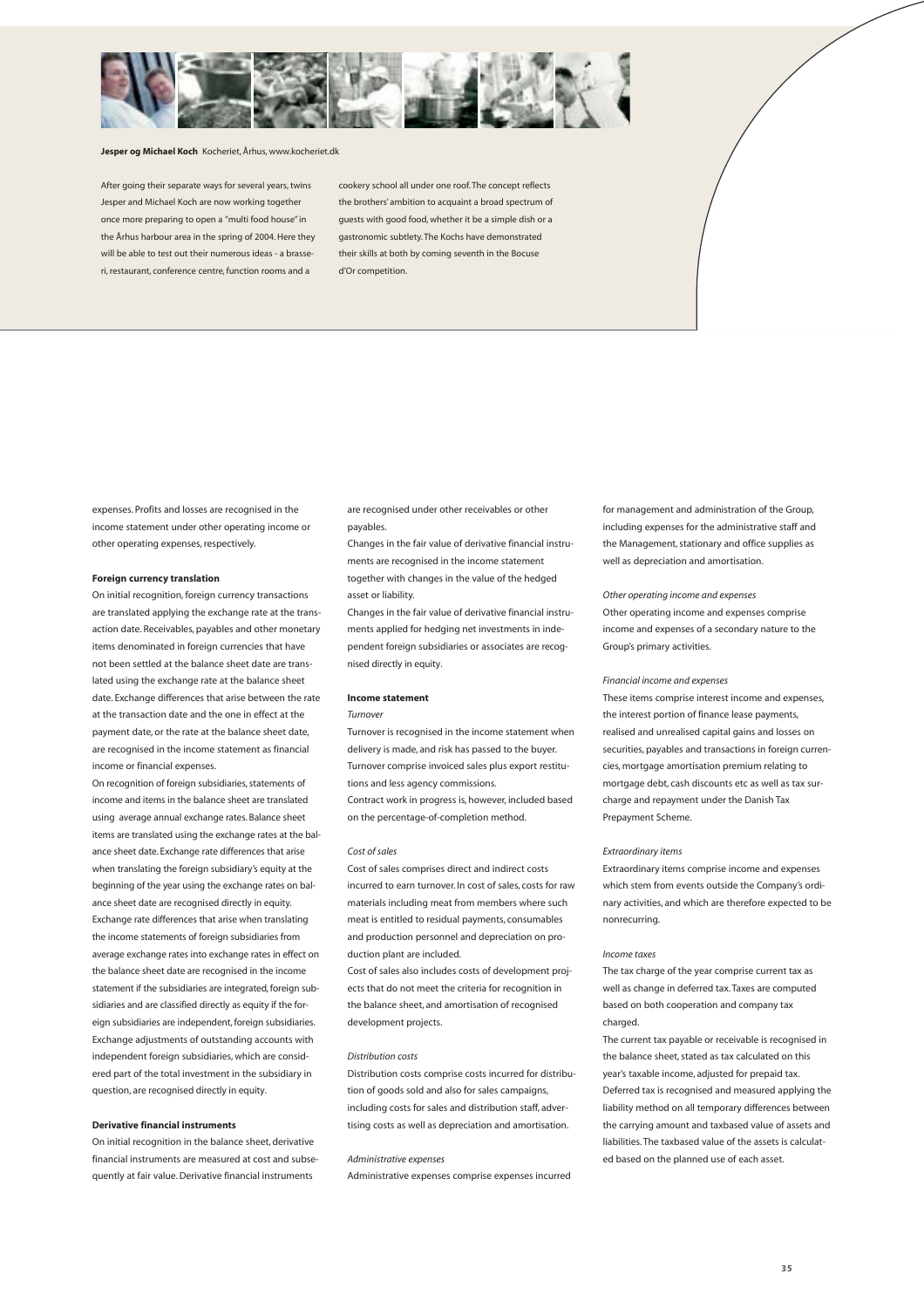

#### **Jesper og Michael Koch** Kocheriet, Århus, www.kocheriet.dk

After going their separate ways for several years, twins Jesper and Michael Koch are now working together once more preparing to open a "multi food house" in the Århus harbour area in the spring of 2004. Here they will be able to test out their numerous ideas - a brasseri, restaurant, conference centre, function rooms and a

cookery school all under one roof. The concept reflects the brothers' ambition to acquaint a broad spectrum of guests with good food, whether it be a simple dish or a gastronomic subtlety. The Kochs have demonstrated their skills at both by coming seventh in the Bocuse d'Or competition.

expenses. Profits and losses are recognised in the income statement under other operating income or other operating expenses, respectively.

#### **Foreign currency translation**

On initial recognition, foreign currency transactions are translated applying the exchange rate at the transaction date. Receivables, payables and other monetary items denominated in foreign currencies that have not been settled at the balance sheet date are translated using the exchange rate at the balance sheet date. Exchange differences that arise between the rate at the transaction date and the one in effect at the payment date, or the rate at the balance sheet date, are recognised in the income statement as financial income or financial expenses.

On recognition of foreign subsidiaries, statements of income and items in the balance sheet are translated using average annual exchange rates. Balance sheet items are translated using the exchange rates at the balance sheet date. Exchange rate differences that arise when translating the foreign subsidiary's equity at the beginning of the year using the exchange rates on balance sheet date are recognised directly in equity. Exchange rate differences that arise when translating the income statements of foreign subsidiaries from average exchange rates into exchange rates in effect on the balance sheet date are recognised in the income statement if the subsidiaries are integrated, foreign subsidiaries and are classified directly as equity if the foreign subsidiaries are independent, foreign subsidiaries. Exchange adjustments of outstanding accounts with independent foreign subsidiaries, which are considered part of the total investment in the subsidiary in question, are recognised directly in equity.

#### **Derivative financial instruments**

On initial recognition in the balance sheet, derivative financial instruments are measured at cost and subsequently at fair value. Derivative financial instruments

are recognised under other receivables or other payables.

Changes in the fair value of derivative financial instruments are recognised in the income statement together with changes in the value of the hedged asset or liability.

Changes in the fair value of derivative financial instruments applied for hedging net investments in independent foreign subsidiaries or associates are recognised directly in equity.

#### **Income statement**

#### *Turnover*

Turnover is recognised in the income statement when delivery is made, and risk has passed to the buyer. Turnover comprise invoiced sales plus export restitutions and less agency commissions. Contract work in progress is, however, included based on the percentage-of-completion method.

#### *Cost of sales*

Cost of sales comprises direct and indirect costs incurred to earn turnover. In cost of sales, costs for raw materials including meat from members where such meat is entitled to residual payments, consumables and production personnel and depreciation on production plant are included.

Cost of sales also includes costs of development projects that do not meet the criteria for recognition in the balance sheet, and amortisation of recognised development projects.

#### *Distribution costs*

Distribution costs comprise costs incurred for distribution of goods sold and also for sales campaigns, including costs for sales and distribution staff, advertising costs as well as depreciation and amortisation.

#### *Administrative expenses*

Administrative expenses comprise expenses incurred

for management and administration of the Group, including expenses for the administrative staff and the Management, stationary and office supplies as well as depreciation and amortisation.

*Other operating income and expenses* Other operating income and expenses comprise income and expenses of a secondary nature to the Group's primary activities.

#### *Financial income and expenses*

These items comprise interest income and expenses, the interest portion of finance lease payments, realised and unrealised capital gains and losses on securities, payables and transactions in foreign currencies, mortgage amortisation premium relating to mortgage debt, cash discounts etc as well as tax surcharge and repayment under the Danish Tax Prepayment Scheme.

#### *Extraordinary items*

Extraordinary items comprise income and expenses which stem from events outside the Company's ordinary activities, and which are therefore expected to be nonrecurring.

#### *Income taxes*

The tax charge of the year comprise current tax as well as change in deferred tax. Taxes are computed based on both cooperation and company tax charged.

The current tax payable or receivable is recognised in the balance sheet, stated as tax calculated on this year's taxable income, adjusted for prepaid tax. Deferred tax is recognised and measured applying the liability method on all temporary differences between the carrying amount and taxbased value of assets and liabilities. The taxbased value of the assets is calculated based on the planned use of each asset.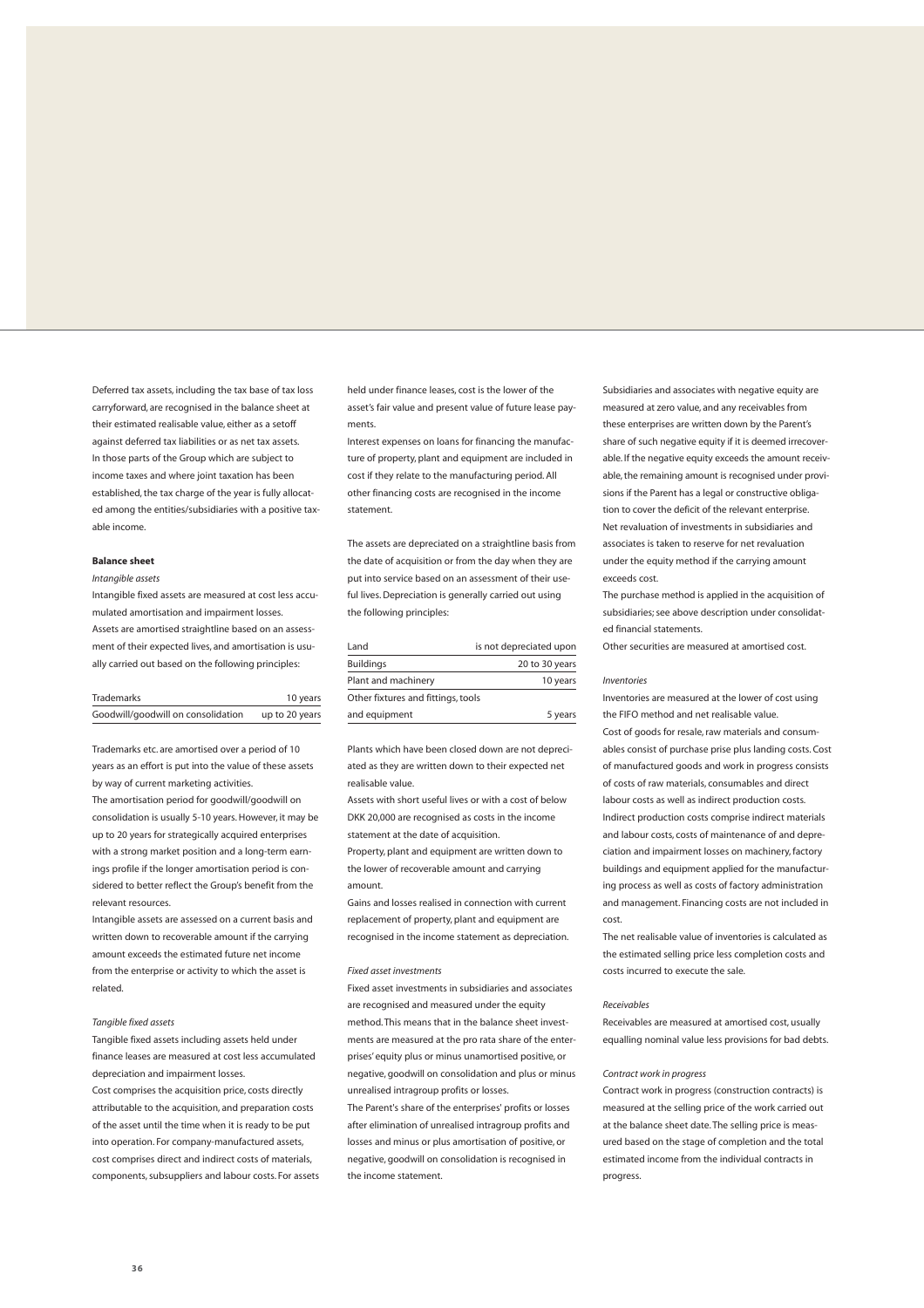Deferred tax assets, including the tax base of tax loss carryforward, are recognised in the balance sheet at their estimated realisable value, either as a setoff against deferred tax liabilities or as net tax assets. In those parts of the Group which are subject to income taxes and where joint taxation has been established, the tax charge of the year is fully allocated among the entities/subsidiaries with a positive taxable income.

#### **Balance sheet**

#### *Intangible assets*

Intangible fixed assets are measured at cost less accumulated amortisation and impairment losses. Assets are amortised straightline based on an assessment of their expected lives, and amortisation is usually carried out based on the following principles:

| <b>Trademarks</b>                  | 10 years       |
|------------------------------------|----------------|
| Goodwill/goodwill on consolidation | up to 20 years |

Trademarks etc. are amortised over a period of 10 years as an effort is put into the value of these assets by way of current marketing activities.

The amortisation period for goodwill/goodwill on consolidation is usually 5-10 years. However, it may be up to 20 years for strategically acquired enterprises with a strong market position and a long-term earnings profile if the longer amortisation period is considered to better reflect the Group's benefit from the relevant resources.

Intangible assets are assessed on a current basis and written down to recoverable amount if the carrying amount exceeds the estimated future net income from the enterprise or activity to which the asset is related.

#### *Tangible fixed assets*

Tangible fixed assets including assets held under finance leases are measured at cost less accumulated depreciation and impairment losses.

Cost comprises the acquisition price, costs directly attributable to the acquisition, and preparation costs of the asset until the time when it is ready to be put into operation. For company-manufactured assets, cost comprises direct and indirect costs of materials, components, subsuppliers and labour costs. For assets held under finance leases, cost is the lower of the asset's fair value and present value of future lease payments.

Interest expenses on loans for financing the manufacture of property, plant and equipment are included in cost if they relate to the manufacturing period. All other financing costs are recognised in the income statement.

The assets are depreciated on a straightline basis from the date of acquisition or from the day when they are put into service based on an assessment of their useful lives. Depreciation is generally carried out using the following principles:

| Land                               | is not depreciated upon |
|------------------------------------|-------------------------|
| <b>Buildings</b>                   | 20 to 30 years          |
| Plant and machinery                | 10 years                |
| Other fixtures and fittings, tools |                         |
| and equipment                      | 5 years                 |

Plants which have been closed down are not depreciated as they are written down to their expected net realisable value.

Assets with short useful lives or with a cost of below DKK 20,000 are recognised as costs in the income statement at the date of acquisition.

Property, plant and equipment are written down to the lower of recoverable amount and carrying amount.

Gains and losses realised in connection with current replacement of property, plant and equipment are recognised in the income statement as depreciation.

#### *Fixed asset investments*

Fixed asset investments in subsidiaries and associates are recognised and measured under the equity method. This means that in the balance sheet investments are measured at the pro rata share of the enterprises' equity plus or minus unamortised positive, or negative, goodwill on consolidation and plus or minus unrealised intragroup profits or losses.

The Parent's share of the enterprises' profits or losses after elimination of unrealised intragroup profits and losses and minus or plus amortisation of positive, or negative, goodwill on consolidation is recognised in the income statement.

Subsidiaries and associates with negative equity are measured at zero value, and any receivables from these enterprises are written down by the Parent's share of such negative equity if it is deemed irrecoverable. If the negative equity exceeds the amount receivable, the remaining amount is recognised under provisions if the Parent has a legal or constructive obligation to cover the deficit of the relevant enterprise. Net revaluation of investments in subsidiaries and associates is taken to reserve for net revaluation under the equity method if the carrying amount exceeds cost.

The purchase method is applied in the acquisition of subsidiaries; see above description under consolidated financial statements.

Other securities are measured at amortised cost.

#### *Inventories*

Inventories are measured at the lower of cost using the FIFO method and net realisable value. Cost of goods for resale, raw materials and consumables consist of purchase prise plus landing costs. Cost of manufactured goods and work in progress consists of costs of raw materials, consumables and direct labour costs as well as indirect production costs. Indirect production costs comprise indirect materials and labour costs, costs of maintenance of and depreciation and impairment losses on machinery, factory buildings and equipment applied for the manufacturing process as well as costs of factory administration and management. Financing costs are not included in cost.

The net realisable value of inventories is calculated as the estimated selling price less completion costs and costs incurred to execute the sale.

#### *Receivables*

Receivables are measured at amortised cost, usually equalling nominal value less provisions for bad debts.

#### *Contract work in progress*

Contract work in progress (construction contracts) is measured at the selling price of the work carried out at the balance sheet date. The selling price is measured based on the stage of completion and the total estimated income from the individual contracts in progress.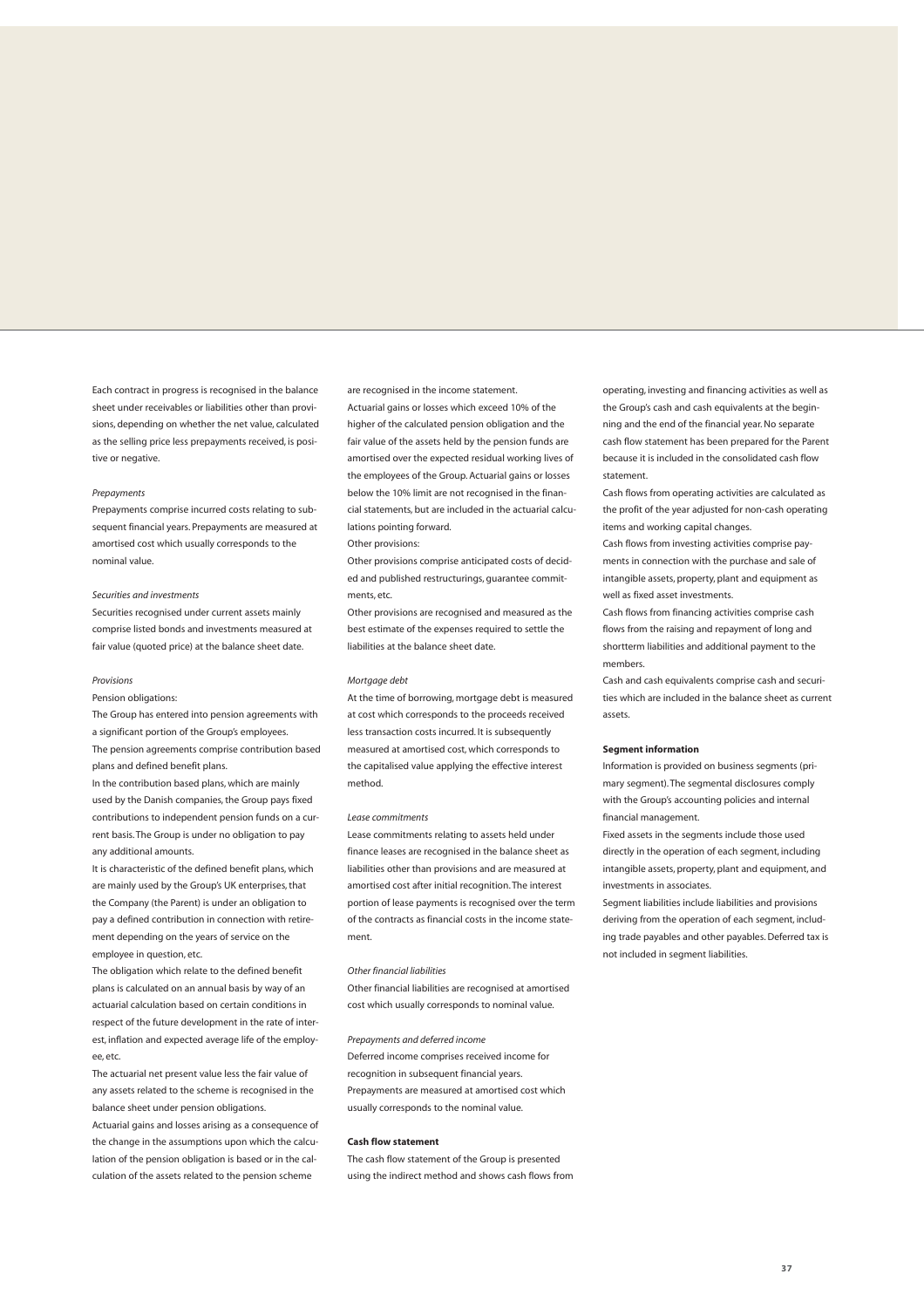Each contract in progress is recognised in the balance sheet under receivables or liabilities other than provisions, depending on whether the net value, calculated as the selling price less prepayments received, is positive or negative.

#### *Prepayments*

Prepayments comprise incurred costs relating to subsequent financial years. Prepayments are measured at amortised cost which usually corresponds to the nominal value.

#### *Securities and investments*

Securities recognised under current assets mainly comprise listed bonds and investments measured at fair value (quoted price) at the balance sheet date.

#### *Provisions*

#### Pension obligations:

The Group has entered into pension agreements with a significant portion of the Group's employees. The pension agreements comprise contribution based plans and defined benefit plans.

In the contribution based plans, which are mainly used by the Danish companies, the Group pays fixed contributions to independent pension funds on a current basis. The Group is under no obligation to pay any additional amounts.

It is characteristic of the defined benefit plans, which are mainly used by the Group's UK enterprises, that the Company (the Parent) is under an obligation to pay a defined contribution in connection with retirement depending on the years of service on the employee in question, etc.

The obligation which relate to the defined benefit plans is calculated on an annual basis by way of an actuarial calculation based on certain conditions in respect of the future development in the rate of interest, inflation and expected average life of the employee, etc.

The actuarial net present value less the fair value of any assets related to the scheme is recognised in the balance sheet under pension obligations.

Actuarial gains and losses arising as a consequence of the change in the assumptions upon which the calculation of the pension obligation is based or in the calculation of the assets related to the pension scheme

are recognised in the income statement. Actuarial gains or losses which exceed 10% of the higher of the calculated pension obligation and the fair value of the assets held by the pension funds are amortised over the expected residual working lives of the employees of the Group. Actuarial gains or losses below the 10% limit are not recognised in the financial statements, but are included in the actuarial calculations pointing forward.

#### Other provisions:

Other provisions comprise anticipated costs of decided and published restructurings, guarantee commitments, etc.

Other provisions are recognised and measured as the best estimate of the expenses required to settle the liabilities at the balance sheet date.

#### *Mortgage debt*

At the time of borrowing, mortgage debt is measured at cost which corresponds to the proceeds received less transaction costs incurred. It is subsequently measured at amortised cost, which corresponds to the capitalised value applying the effective interest method.

#### *Lease commitments*

Lease commitments relating to assets held under finance leases are recognised in the balance sheet as liabilities other than provisions and are measured at amortised cost after initial recognition. The interest portion of lease payments is recognised over the term of the contracts as financial costs in the income statement.

#### *Other financial liabilities*

Other financial liabilities are recognised at amortised cost which usually corresponds to nominal value.

#### *Prepayments and deferred income*

Deferred income comprises received income for recognition in subsequent financial years. Prepayments are measured at amortised cost which usually corresponds to the nominal value.

#### **Cash flow statement**

The cash flow statement of the Group is presented using the indirect method and shows cash flows from operating, investing and financing activities as well as the Group's cash and cash equivalents at the beginning and the end of the financial year. No separate cash flow statement has been prepared for the Parent because it is included in the consolidated cash flow statement.

Cash flows from operating activities are calculated as the profit of the year adjusted for non-cash operating items and working capital changes.

Cash flows from investing activities comprise payments in connection with the purchase and sale of intangible assets, property, plant and equipment as well as fixed asset investments.

Cash flows from financing activities comprise cash flows from the raising and repayment of long and shortterm liabilities and additional payment to the members.

Cash and cash equivalents comprise cash and securities which are included in the balance sheet as current assets.

#### **Segment information**

Information is provided on business segments (primary segment). The segmental disclosures comply with the Group's accounting policies and internal financial management.

Fixed assets in the segments include those used directly in the operation of each segment, including intangible assets, property, plant and equipment, and investments in associates.

Segment liabilities include liabilities and provisions deriving from the operation of each segment, including trade payables and other payables. Deferred tax is not included in segment liabilities.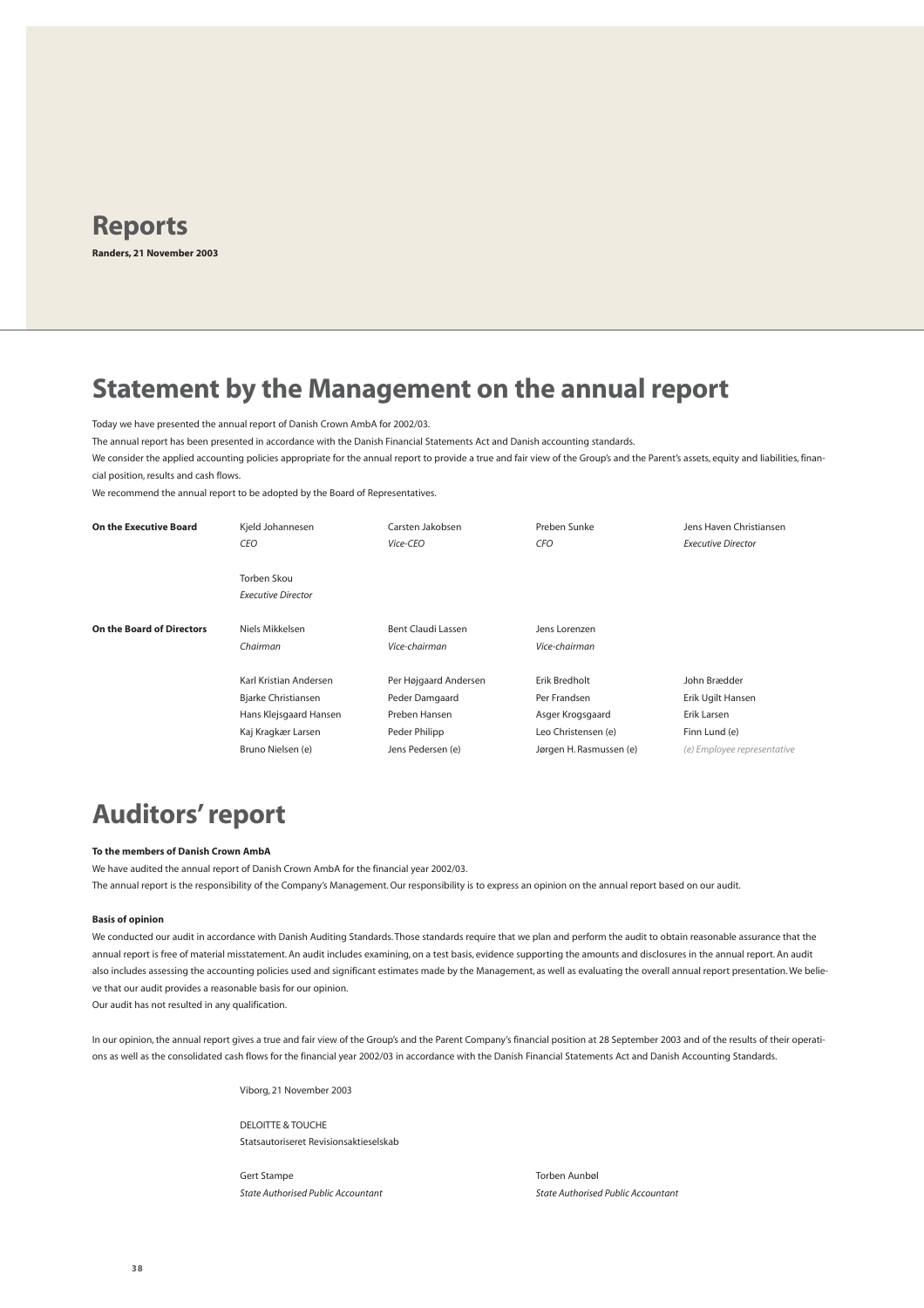

### **Statement by the Management on the annual report**

Today we have presented the annual report of Danish Crown AmbA for 2002/03.

The annual report has been presented in accordance with the Danish Financial Statements Act and Danish accounting standards.

We consider the applied accounting policies appropriate for the annual report to provide a true and fair view of the Group's and the Parent's assets, equity and liabilities, financial position, results and cash flows.

We recommend the annual report to be adopted by the Board of Representatives.

| On the Executive Board    | Kjeld Johannesen                         | Carsten Jakobsen                    | Preben Sunke                   | Jens Haven Christiansen     |
|---------------------------|------------------------------------------|-------------------------------------|--------------------------------|-----------------------------|
|                           | CEO                                      | Vice-CEO                            | CFO                            | <b>Executive Director</b>   |
|                           | Torben Skou<br><b>Executive Director</b> |                                     |                                |                             |
| On the Board of Directors | Niels Mikkelsen<br>Chairman              | Bent Claudi Lassen<br>Vice-chairman | Jens Lorenzen<br>Vice-chairman |                             |
|                           | Karl Kristian Andersen                   | Per Højgaard Andersen               | Erik Bredholt                  | John Brædder                |
|                           | Bjarke Christiansen                      | Peder Damgaard                      | Per Frandsen                   | Erik Ugilt Hansen           |
|                           | Hans Klejsgaard Hansen                   | Preben Hansen                       | Asger Krogsgaard               | Erik Larsen                 |
|                           | Kaj Kragkær Larsen                       | Peder Philipp                       | Leo Christensen (e)            | Finn Lund (e)               |
|                           | Bruno Nielsen (e)                        | Jens Pedersen (e)                   | Jørgen H. Rasmussen (e)        | (e) Employee representative |

## **Auditors' report**

#### **To the members of Danish Crown AmbA**

We have audited the annual report of Danish Crown AmbA for the financial year 2002/03. The annual report is the responsibility of the Company's Management. Our responsibility is to express an opinion on the annual report based on our audit.

#### **Basis of opinion**

We conducted our audit in accordance with Danish Auditing Standards. Those standards require that we plan and perform the audit to obtain reasonable assurance that the annual report is free of material misstatement. An audit includes examining, on a test basis, evidence supporting the amounts and disclosures in the annual report. An audit also includes assessing the accounting policies used and significant estimates made by the Management, as well as evaluating the overall annual report presentation. We believe that our audit provides a reasonable basis for our opinion.

Our audit has not resulted in any qualification.

In our opinion, the annual report gives a true and fair view of the Group's and the Parent Company's financial position at 28 September 2003 and of the results of their operations as well as the consolidated cash flows for the financial year 2002/03 in accordance with the Danish Financial Statements Act and Danish Accounting Standards.

Viborg, 21 November 2003

DELOITTE & TOUCHE Statsautoriseret Revisionsaktieselskab

Gert Stampe Torben Aunbøl

*State Authorised Public Accountant State Authorised Public Accountant*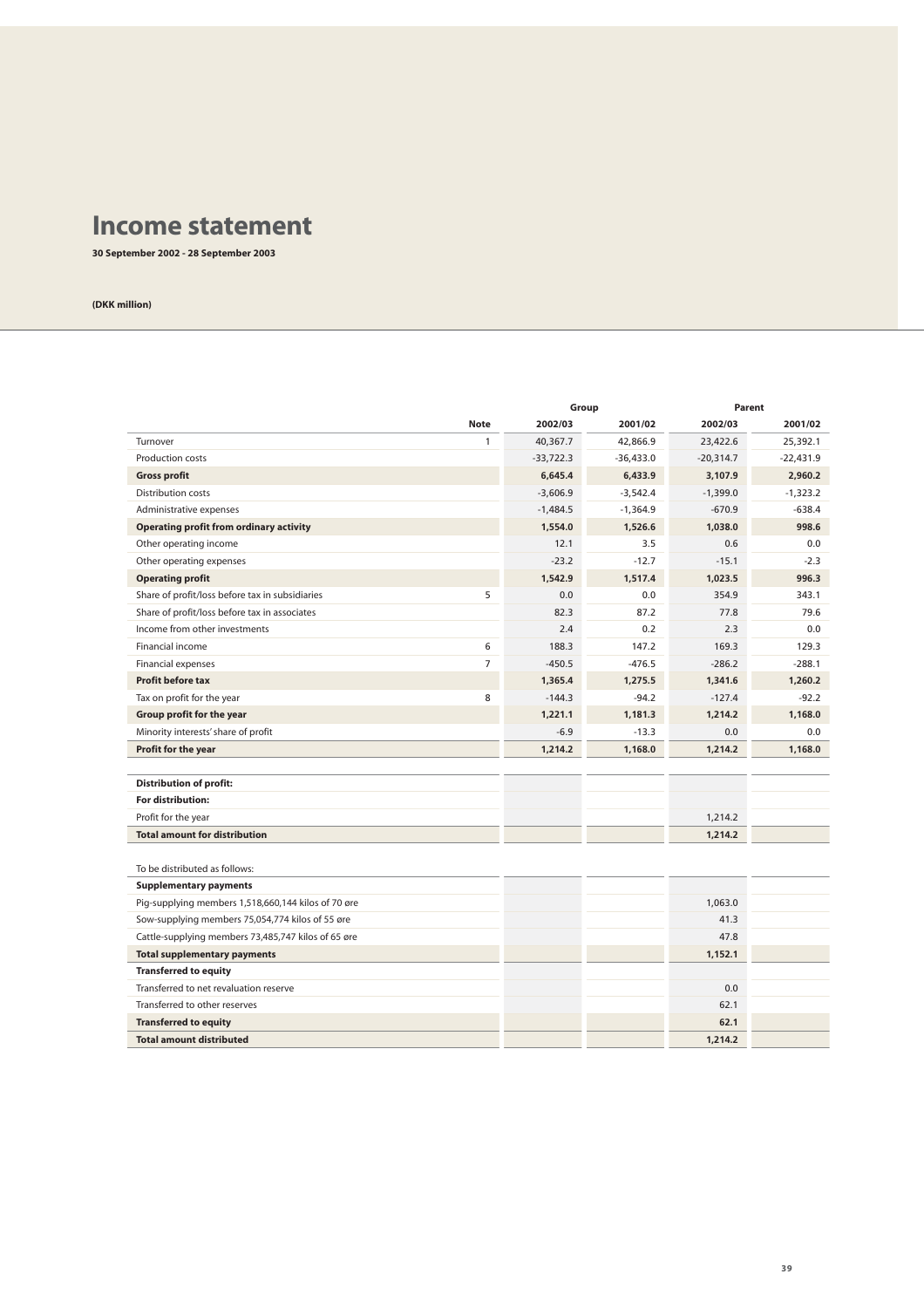### **Income statement**

**30 September 2002 - 28 September 2003**

|                                                     |                          | Group                |             | Parent      |  |
|-----------------------------------------------------|--------------------------|----------------------|-------------|-------------|--|
| <b>Note</b>                                         | 2002/03                  | 2001/02              | 2002/03     | 2001/02     |  |
| Turnover                                            | $\mathbf{1}$<br>40,367.7 | 42,866.9             | 23,422.6    | 25,392.1    |  |
| Production costs                                    | $-33.722.3$              | $-36,433.0$          | $-20,314.7$ | $-22,431.9$ |  |
| <b>Gross profit</b>                                 |                          | 6,645.4<br>6,433.9   | 3,107.9     | 2,960.2     |  |
| Distribution costs                                  | $-3,606.9$               | $-3,542.4$           | $-1,399.0$  | $-1,323.2$  |  |
| Administrative expenses                             | $-1,484.5$               | $-1,364.9$           | $-670.9$    | $-638.4$    |  |
| <b>Operating profit from ordinary activity</b>      |                          | 1.554.0<br>1,526.6   | 1.038.0     | 998.6       |  |
| Other operating income                              |                          | 12.1<br>3.5          | 0.6         | 0.0         |  |
| Other operating expenses                            |                          | $-23.2$<br>$-12.7$   | $-15.1$     | $-2.3$      |  |
| <b>Operating profit</b>                             |                          | 1.542.9<br>1.517.4   | 1.023.5     | 996.3       |  |
| Share of profit/loss before tax in subsidiaries     | 5                        | 0.0<br>0.0           | 354.9       | 343.1       |  |
| Share of profit/loss before tax in associates       |                          | 82.3<br>87.2         | 77.8        | 79.6        |  |
| Income from other investments                       |                          | 2.4<br>0.2           | 2.3         | 0.0         |  |
| Financial income                                    | 6                        | 188.3<br>147.2       | 169.3       | 129.3       |  |
| <b>Financial expenses</b>                           | $\overline{7}$           | $-476.5$<br>$-450.5$ | $-286.2$    | $-288.1$    |  |
| <b>Profit before tax</b>                            |                          | 1,365.4<br>1.275.5   | 1,341.6     | 1,260.2     |  |
| Tax on profit for the year                          | 8                        | $-94.2$<br>$-144.3$  | $-127.4$    | $-92.2$     |  |
| Group profit for the year                           |                          | 1,181.3<br>1,221.1   | 1,214.2     | 1,168.0     |  |
| Minority interests' share of profit                 |                          | $-6.9$<br>$-13.3$    | 0.0         | 0.0         |  |
| Profit for the year                                 |                          | 1,214.2<br>1,168.0   | 1,214.2     | 1.168.0     |  |
|                                                     |                          |                      |             |             |  |
| <b>Distribution of profit:</b>                      |                          |                      |             |             |  |
| For distribution:                                   |                          |                      |             |             |  |
| Profit for the year                                 |                          |                      | 1.214.2     |             |  |
| <b>Total amount for distribution</b>                |                          |                      | 1,214.2     |             |  |
|                                                     |                          |                      |             |             |  |
| To be distributed as follows:                       |                          |                      |             |             |  |
| <b>Supplementary payments</b>                       |                          |                      |             |             |  |
| Pig-supplying members 1,518,660,144 kilos of 70 øre |                          |                      | 1,063.0     |             |  |
| Sow-supplying members 75,054,774 kilos of 55 øre    |                          |                      | 41.3        |             |  |
| Cattle-supplying members 73,485,747 kilos of 65 øre |                          |                      | 47.8        |             |  |
| <b>Total supplementary payments</b>                 |                          |                      | 1,152.1     |             |  |
| <b>Transferred to equity</b>                        |                          |                      |             |             |  |
| Transferred to net revaluation reserve              |                          |                      | 0.0         |             |  |
| Transferred to other reserves                       |                          |                      | 62.1        |             |  |
| <b>Transferred to equity</b>                        |                          |                      | 62.1        |             |  |
| <b>Total amount distributed</b>                     |                          |                      | 1,214.2     |             |  |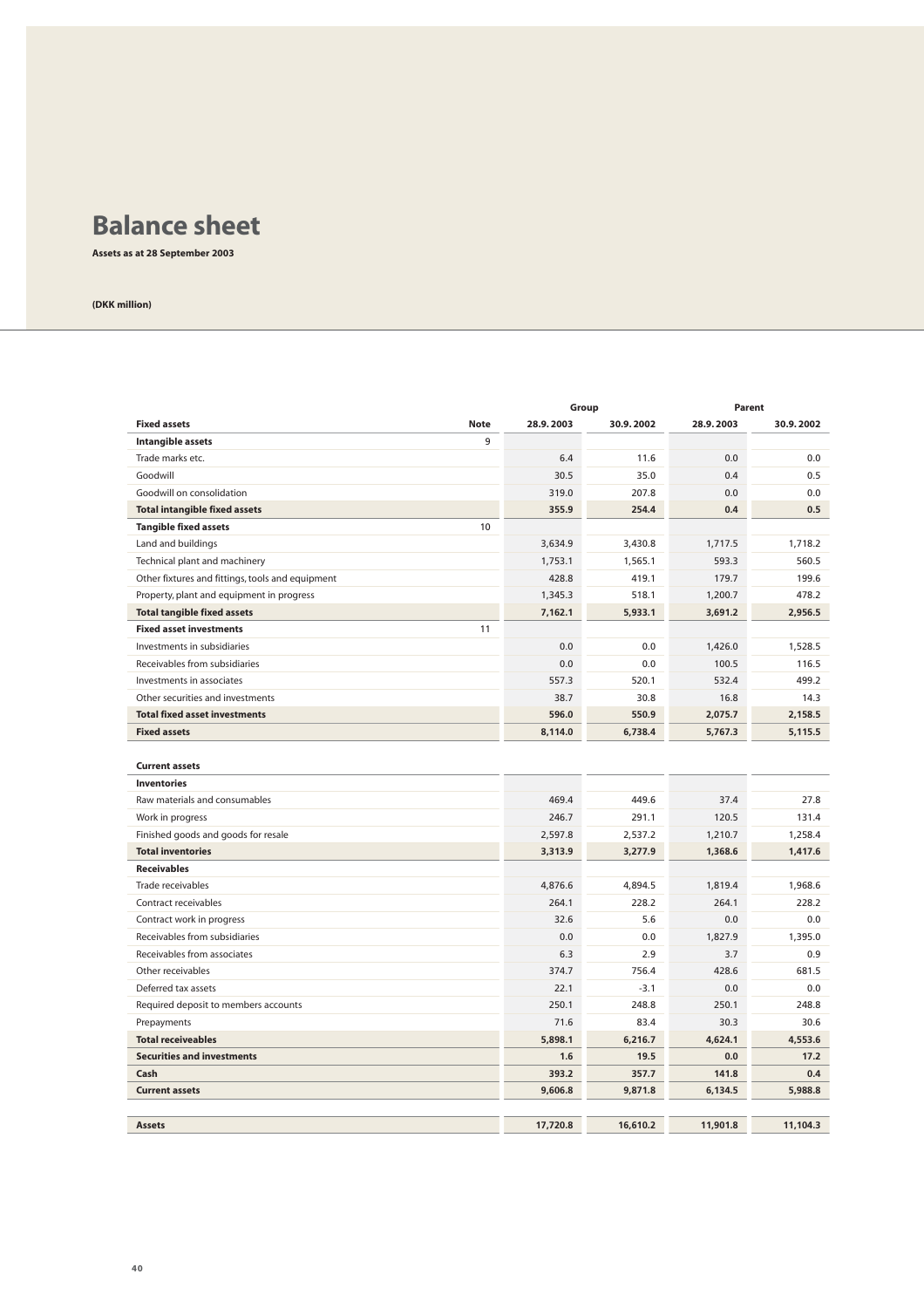## **Balance sheet**

**Assets as at 28 September 2003**

|                                                  |           | Group     |           | Parent    |
|--------------------------------------------------|-----------|-----------|-----------|-----------|
| <b>Fixed assets</b><br><b>Note</b>               | 28.9.2003 | 30.9.2002 | 28.9.2003 | 30.9.2002 |
| Intangible assets<br>9                           |           |           |           |           |
| Trade marks etc.                                 | 6.4       | 11.6      | 0.0       | 0.0       |
| Goodwill                                         | 30.5      | 35.0      | 0.4       | 0.5       |
| Goodwill on consolidation                        | 319.0     | 207.8     | 0.0       | 0.0       |
| <b>Total intangible fixed assets</b>             | 355.9     | 254.4     | 0.4       | 0.5       |
| 10<br><b>Tangible fixed assets</b>               |           |           |           |           |
| Land and buildings                               | 3,634.9   | 3,430.8   | 1,717.5   | 1.718.2   |
| Technical plant and machinery                    | 1,753.1   | 1,565.1   | 593.3     | 560.5     |
| Other fixtures and fittings, tools and equipment | 428.8     | 419.1     | 179.7     | 199.6     |
| Property, plant and equipment in progress        | 1,345.3   | 518.1     | 1,200.7   | 478.2     |
| <b>Total tangible fixed assets</b>               | 7,162.1   | 5,933.1   | 3,691.2   | 2,956.5   |
| 11<br><b>Fixed asset investments</b>             |           |           |           |           |
| Investments in subsidiaries                      | 0.0       | 0.0       | 1,426.0   | 1,528.5   |
| Receivables from subsidiaries                    | 0.0       | 0.0       | 100.5     | 116.5     |
| Investments in associates                        | 557.3     | 520.1     | 532.4     | 499.2     |
| Other securities and investments                 | 38.7      | 30.8      | 16.8      | 14.3      |
| <b>Total fixed asset investments</b>             | 596.0     | 550.9     | 2,075.7   | 2,158.5   |
| <b>Fixed assets</b>                              | 8,114.0   | 6,738.4   | 5,767.3   | 5,115.5   |
| <b>Current assets</b>                            |           |           |           |           |
| <b>Inventories</b>                               |           |           |           |           |
| Raw materials and consumables                    | 469.4     | 449.6     | 37.4      | 27.8      |
| Work in progress                                 | 246.7     | 291.1     | 120.5     | 131.4     |
| Finished goods and goods for resale              | 2,597.8   | 2,537.2   | 1,210.7   | 1,258.4   |
| <b>Total inventories</b>                         | 3,313.9   | 3,277.9   | 1,368.6   | 1,417.6   |
| <b>Receivables</b>                               |           |           |           |           |
| Trade receivables                                | 4,876.6   | 4,894.5   | 1,819.4   | 1,968.6   |
| Contract receivables                             | 264.1     | 228.2     | 264.1     | 228.2     |
| Contract work in progress                        | 32.6      | 5.6       | 0.0       | 0.0       |
| Receivables from subsidiaries                    | 0.0       | 0.0       | 1,827.9   | 1,395.0   |
| Receivables from associates                      | 6.3       | 2.9       | 3.7       | 0.9       |
| Other receivables                                | 374.7     | 756.4     | 428.6     | 681.5     |
| Deferred tax assets                              | 22.1      | $-3.1$    | 0.0       | 0.0       |
| Required deposit to members accounts             | 250.1     | 248.8     | 250.1     | 248.8     |
| Prepayments                                      | 71.6      | 83.4      | 30.3      | 30.6      |
| <b>Total receiveables</b>                        | 5,898.1   | 6,216.7   | 4.624.1   | 4,553.6   |
| <b>Securities and investments</b>                | 1.6       | 19.5      | 0.0       | 17.2      |
| Cash                                             | 393.2     | 357.7     | 141.8     | 0.4       |
| <b>Current assets</b>                            | 9,606.8   | 9,871.8   | 6,134.5   | 5,988.8   |
|                                                  |           |           |           |           |
| <b>Assets</b>                                    | 17,720.8  | 16,610.2  | 11,901.8  | 11,104.3  |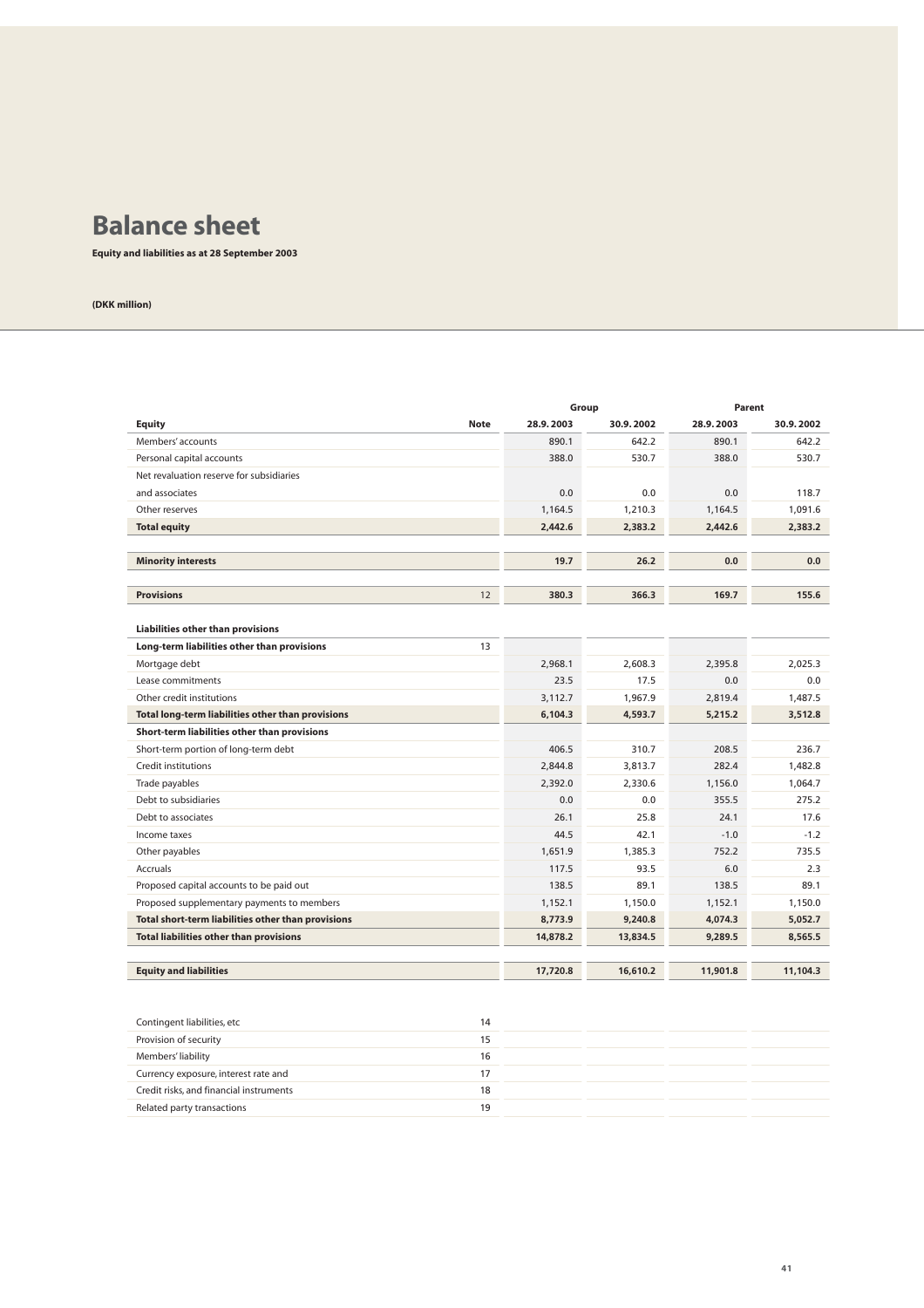## **Balance sheet**

**Equity and liabilities as at 28 September 2003**

|                                                    |           | Group     |           | Parent    |
|----------------------------------------------------|-----------|-----------|-----------|-----------|
| <b>Equity</b><br><b>Note</b>                       | 28.9.2003 | 30.9.2002 | 28.9.2003 | 30.9.2002 |
| Members' accounts                                  | 890.1     | 642.2     | 890.1     | 642.2     |
| Personal capital accounts                          | 388.0     | 530.7     | 388.0     | 530.7     |
| Net revaluation reserve for subsidiaries           |           |           |           |           |
| and associates                                     | 0.0       | 0.0       | 0.0       | 118.7     |
| Other reserves                                     | 1.164.5   | 1.210.3   | 1.164.5   | 1.091.6   |
| <b>Total equity</b>                                | 2,442.6   | 2,383.2   | 2,442.6   | 2,383.2   |
|                                                    |           |           |           |           |
| <b>Minority interests</b>                          | 19.7      | 26.2      | 0.0       | 0.0       |
|                                                    |           |           |           |           |
| <b>Provisions</b><br>12                            | 380.3     | 366.3     | 169.7     | 155.6     |
|                                                    |           |           |           |           |
| Liabilities other than provisions                  |           |           |           |           |
| Long-term liabilities other than provisions<br>13  |           |           |           |           |
| Mortgage debt                                      | 2,968.1   | 2,608.3   | 2,395.8   | 2,025.3   |
| Lease commitments                                  | 23.5      | 17.5      | 0.0       | 0.0       |
| Other credit institutions                          | 3,112.7   | 1,967.9   | 2,819.4   | 1.487.5   |
| Total long-term liabilities other than provisions  | 6,104.3   | 4,593.7   | 5,215.2   | 3,512.8   |
| Short-term liabilities other than provisions       |           |           |           |           |
| Short-term portion of long-term debt               | 406.5     | 310.7     | 208.5     | 236.7     |
| Credit institutions                                | 2,844.8   | 3,813.7   | 282.4     | 1,482.8   |
| Trade payables                                     | 2,392.0   | 2,330.6   | 1,156.0   | 1,064.7   |
| Debt to subsidiaries                               | 0.0       | 0.0       | 355.5     | 275.2     |
| Debt to associates                                 | 26.1      | 25.8      | 24.1      | 17.6      |
| Income taxes                                       | 44.5      | 42.1      | $-1.0$    | $-1.2$    |
| Other payables                                     | 1,651.9   | 1.385.3   | 752.2     | 735.5     |
| <b>Accruals</b>                                    | 117.5     | 93.5      | 6.0       | 2.3       |
| Proposed capital accounts to be paid out           | 138.5     | 89.1      | 138.5     | 89.1      |
| Proposed supplementary payments to members         | 1,152.1   | 1,150.0   | 1,152.1   | 1.150.0   |
| Total short-term liabilities other than provisions | 8,773.9   | 9,240.8   | 4,074.3   | 5.052.7   |
| <b>Total liabilities other than provisions</b>     | 14,878.2  | 13,834.5  | 9,289.5   | 8,565.5   |
|                                                    |           |           |           |           |
| <b>Equity and liabilities</b>                      | 17,720.8  | 16,610.2  | 11,901.8  | 11,104.3  |

| 14 |
|----|
| 15 |
| 16 |
| 17 |
| 18 |
| 19 |
|    |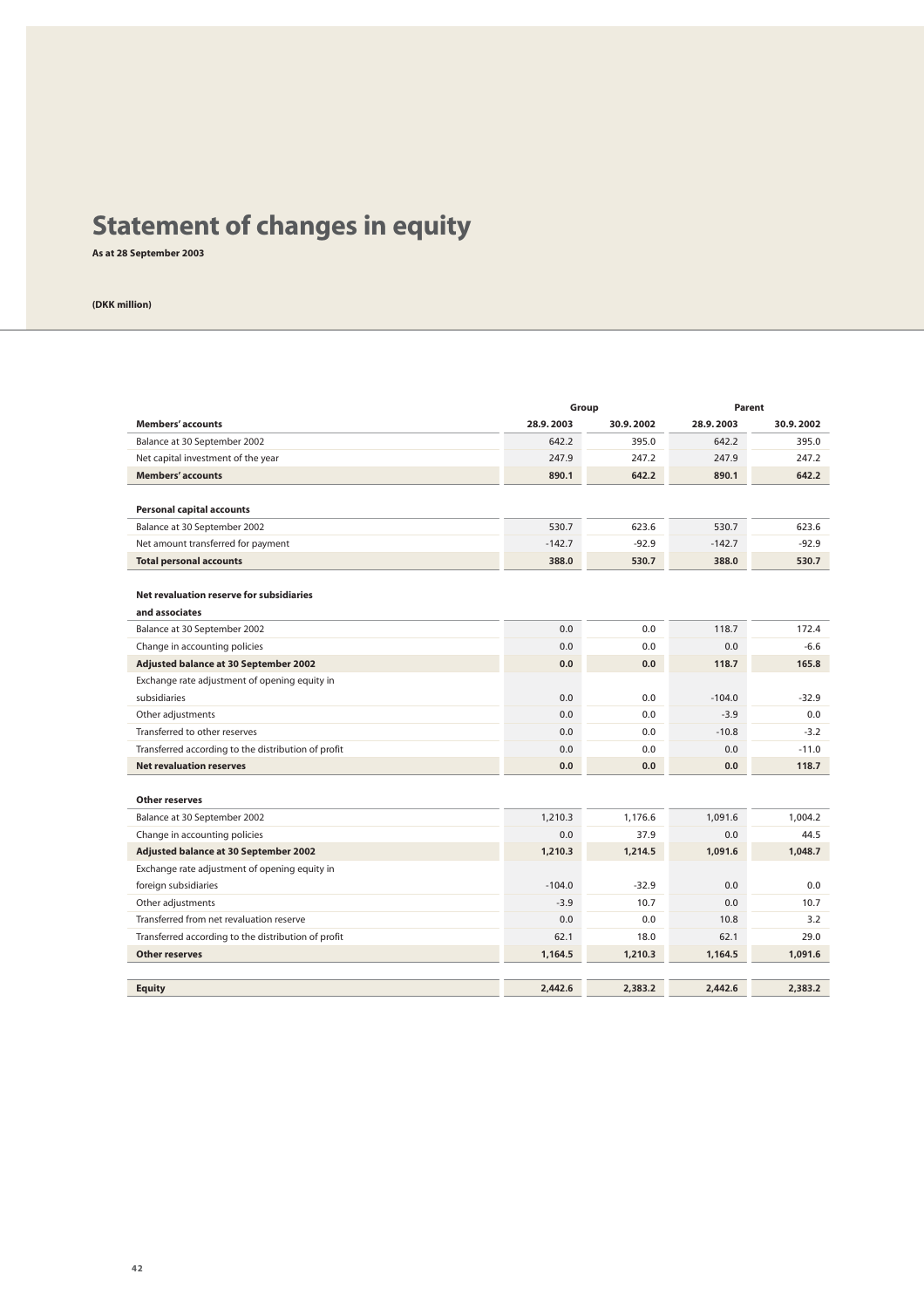# **Statement of changes in equity**

**As at 28 September 2003**

|                                                     | Group     |           | Parent    |           |  |
|-----------------------------------------------------|-----------|-----------|-----------|-----------|--|
| <b>Members' accounts</b>                            | 28.9.2003 | 30.9.2002 | 28.9.2003 | 30.9.2002 |  |
| Balance at 30 September 2002                        | 642.2     | 395.0     | 642.2     | 395.0     |  |
| Net capital investment of the year                  | 247.9     | 247.2     | 247.9     | 247.2     |  |
| <b>Members' accounts</b>                            | 890.1     | 642.2     | 890.1     | 642.2     |  |
|                                                     |           |           |           |           |  |
| <b>Personal capital accounts</b>                    |           |           |           |           |  |
| Balance at 30 September 2002                        | 530.7     | 623.6     | 530.7     | 623.6     |  |
| Net amount transferred for payment                  | $-142.7$  | $-92.9$   | $-142.7$  | $-92.9$   |  |
| <b>Total personal accounts</b>                      | 388.0     | 530.7     | 388.0     | 530.7     |  |
|                                                     |           |           |           |           |  |
| Net revaluation reserve for subsidiaries            |           |           |           |           |  |
| and associates                                      |           |           |           |           |  |
| Balance at 30 September 2002                        | 0.0       | 0.0       | 118.7     | 172.4     |  |
| Change in accounting policies                       | 0.0       | 0.0       | 0.0       | $-6.6$    |  |
| Adjusted balance at 30 September 2002               | 0.0       | 0.0       | 118.7     | 165.8     |  |
| Exchange rate adjustment of opening equity in       |           |           |           |           |  |
| subsidiaries                                        | 0.0       | 0.0       | $-104.0$  | $-32.9$   |  |
| Other adjustments                                   | 0.0       | 0.0       | $-3.9$    | 0.0       |  |
| Transferred to other reserves                       | 0.0       | 0.0       | $-10.8$   | $-3.2$    |  |
| Transferred according to the distribution of profit | 0.0       | 0.0       | 0.0       | $-11.0$   |  |
| <b>Net revaluation reserves</b>                     | 0.0       | 0.0       | 0.0       | 118.7     |  |
|                                                     |           |           |           |           |  |
| Other reserves                                      |           |           |           |           |  |
| Balance at 30 September 2002                        | 1,210.3   | 1,176.6   | 1,091.6   | 1,004.2   |  |
| Change in accounting policies                       | 0.0       | 37.9      | 0.0       | 44.5      |  |
| Adjusted balance at 30 September 2002               | 1.210.3   | 1.214.5   | 1.091.6   | 1.048.7   |  |
| Exchange rate adjustment of opening equity in       |           |           |           |           |  |
| foreign subsidiaries                                | $-104.0$  | $-32.9$   | 0.0       | 0.0       |  |
| Other adjustments                                   | $-3.9$    | 10.7      | 0.0       | 10.7      |  |
| Transferred from net revaluation reserve            | 0.0       | 0.0       | 10.8      | 3.2       |  |
| Transferred according to the distribution of profit | 62.1      | 18.0      | 62.1      | 29.0      |  |
| <b>Other reserves</b>                               | 1,164.5   | 1,210.3   | 1,164.5   | 1,091.6   |  |
|                                                     |           |           |           |           |  |
| <b>Equity</b>                                       | 2.442.6   | 2,383.2   | 2.442.6   | 2,383.2   |  |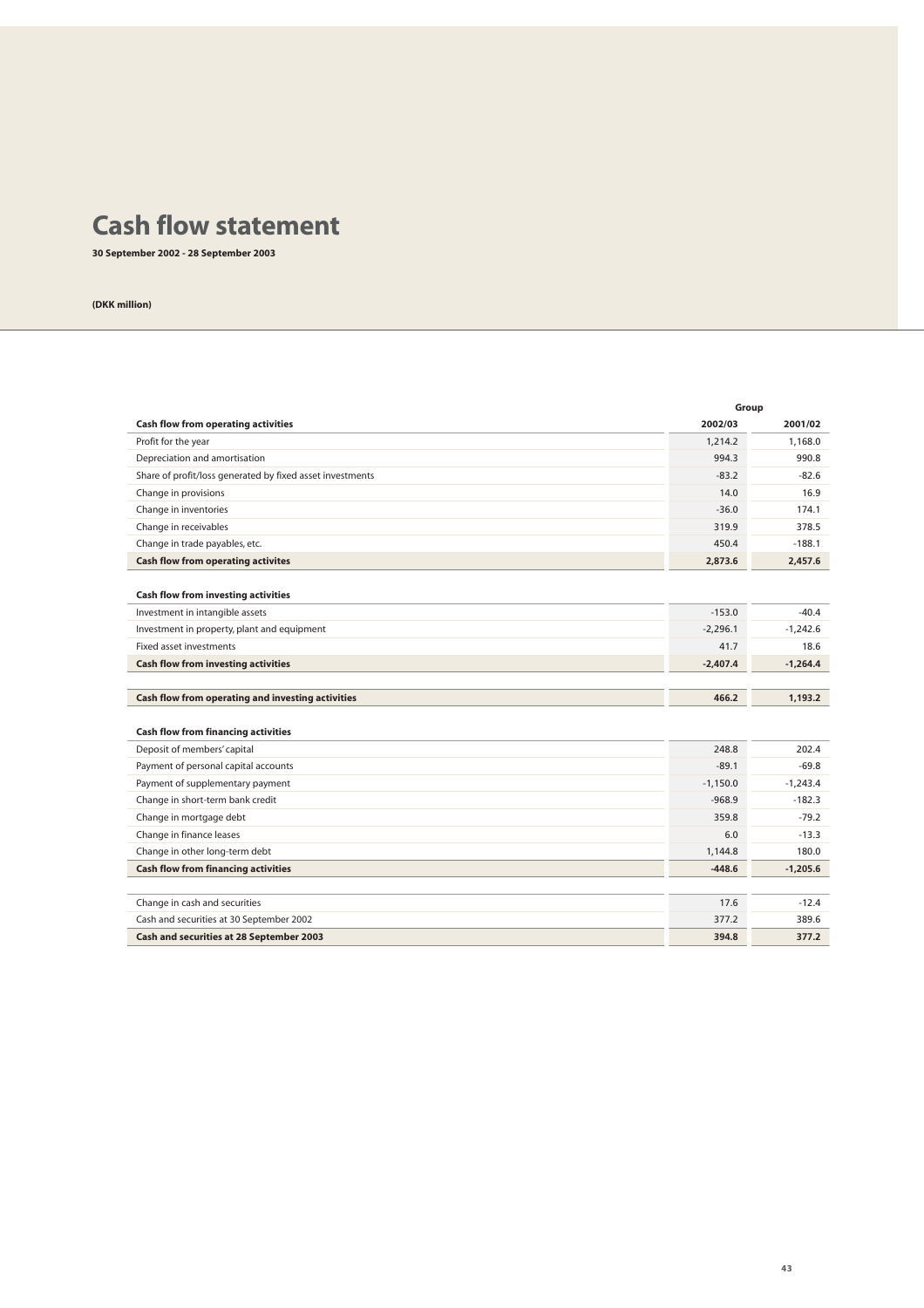## **Cash flow statement**

**30 September 2002 - 28 September 2003**

|                                                           |            | Group      |
|-----------------------------------------------------------|------------|------------|
| <b>Cash flow from operating activities</b>                | 2002/03    | 2001/02    |
| Profit for the year                                       | 1,214.2    | 1,168.0    |
| Depreciation and amortisation                             | 994.3      | 990.8      |
| Share of profit/loss generated by fixed asset investments | $-83.2$    | $-82.6$    |
| Change in provisions                                      | 14.0       | 16.9       |
| Change in inventories                                     | $-36.0$    | 174.1      |
| Change in receivables                                     | 319.9      | 378.5      |
| Change in trade payables, etc.                            | 450.4      | $-188.1$   |
| <b>Cash flow from operating activites</b>                 | 2,873.6    | 2,457.6    |
|                                                           |            |            |
| <b>Cash flow from investing activities</b>                |            |            |
| Investment in intangible assets                           | $-153.0$   | $-40.4$    |
| Investment in property, plant and equipment               | $-2,296.1$ | $-1,242.6$ |
| <b>Fixed asset investments</b>                            | 41.7       | 18.6       |
| <b>Cash flow from investing activities</b>                | $-2,407.4$ | $-1,264.4$ |
|                                                           |            |            |
| Cash flow from operating and investing activities         | 466.2      | 1,193.2    |
|                                                           |            |            |
| <b>Cash flow from financing activities</b>                |            |            |
| Deposit of members' capital                               | 248.8      | 202.4      |
| Payment of personal capital accounts                      | $-89.1$    | $-69.8$    |
| Payment of supplementary payment                          | $-1.150.0$ | $-1,243.4$ |
| Change in short-term bank credit                          | $-968.9$   | $-182.3$   |
| Change in mortgage debt                                   | 359.8      | $-79.2$    |
| Change in finance leases                                  | 6.0        | $-13.3$    |
| Change in other long-term debt                            | 1,144.8    | 180.0      |
| <b>Cash flow from financing activities</b>                | $-448.6$   | $-1,205.6$ |
|                                                           |            |            |
| Change in cash and securities                             | 17.6       | $-12.4$    |
| Cash and securities at 30 September 2002                  | 377.2      | 389.6      |
| Cash and securities at 28 September 2003                  | 394.8      | 377.2      |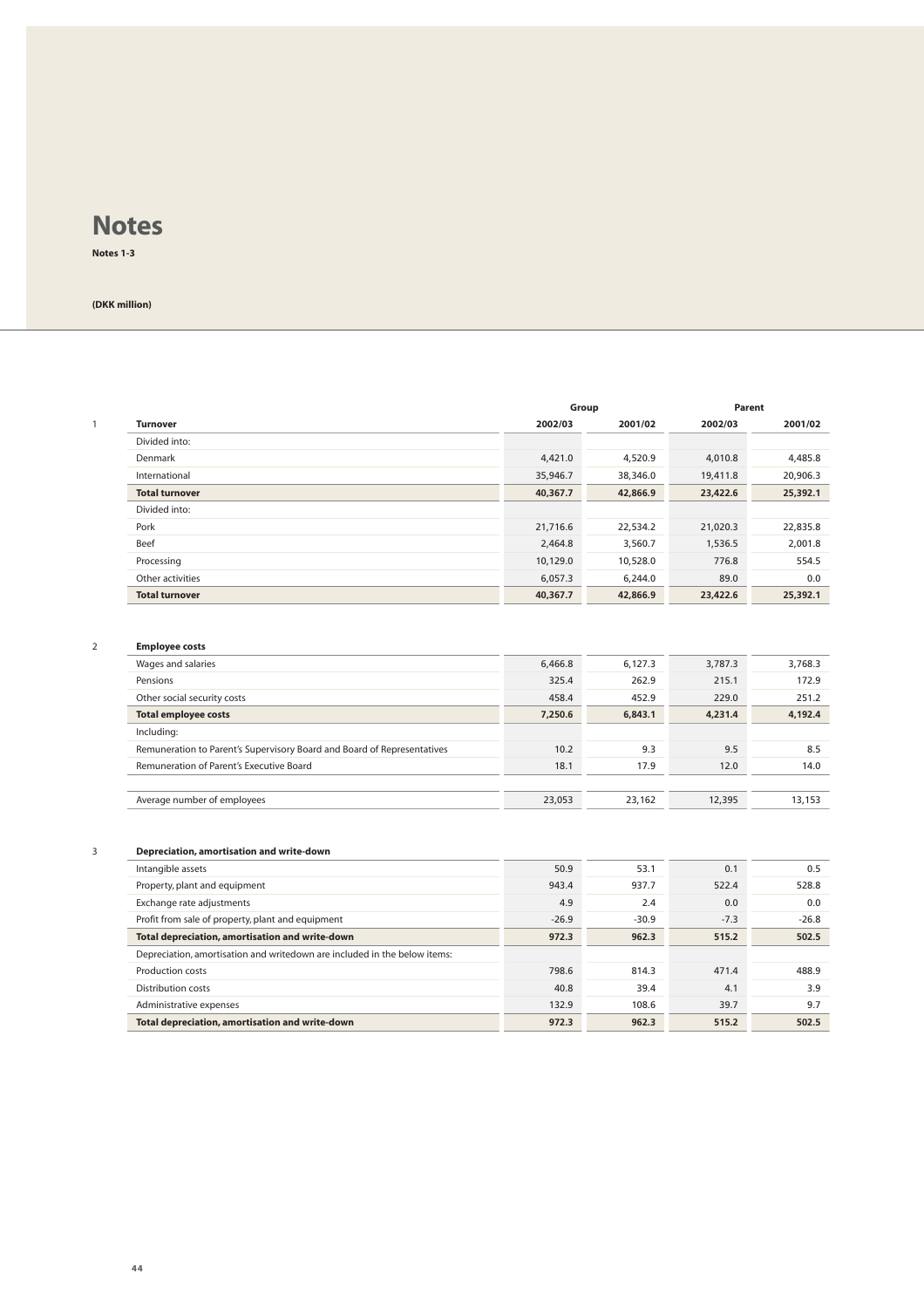**Notes 1-3**

**(DKK million)**

|                       |          | Group    |          | Parent   |  |
|-----------------------|----------|----------|----------|----------|--|
| <b>Turnover</b>       | 2002/03  | 2001/02  | 2002/03  | 2001/02  |  |
| Divided into:         |          |          |          |          |  |
| Denmark               | 4,421.0  | 4,520.9  | 4,010.8  | 4,485.8  |  |
| International         | 35,946.7 | 38,346.0 | 19,411.8 | 20,906.3 |  |
| <b>Total turnover</b> | 40,367.7 | 42,866.9 | 23,422.6 | 25,392.1 |  |
| Divided into:         |          |          |          |          |  |
| Pork                  | 21,716.6 | 22,534.2 | 21,020.3 | 22,835.8 |  |
| Beef                  | 2,464.8  | 3,560.7  | 1,536.5  | 2,001.8  |  |
| Processing            | 10,129.0 | 10,528.0 | 776.8    | 554.5    |  |
| Other activities      | 6,057.3  | 6,244.0  | 89.0     | 0.0      |  |
| <b>Total turnover</b> | 40,367.7 | 42,866.9 | 23,422.6 | 25,392.1 |  |

#### 2 **Employee costs**

| Wages and salaries                                                      | 6,466.8 | 6,127.3 | 3,787.3 | 3,768.3 |
|-------------------------------------------------------------------------|---------|---------|---------|---------|
| Pensions                                                                | 325.4   | 262.9   | 215.1   | 172.9   |
| Other social security costs                                             | 458.4   | 452.9   | 229.0   | 251.2   |
| <b>Total employee costs</b>                                             | 7,250.6 | 6,843.1 | 4.231.4 | 4,192.4 |
| Including:                                                              |         |         |         |         |
| Remuneration to Parent's Supervisory Board and Board of Representatives | 10.2    | 9.3     | 9.5     | 8.5     |
| Remuneration of Parent's Executive Board                                | 18.1    | 17.9    | 12.0    | 14.0    |
|                                                                         |         |         |         |         |
| Average number of employees                                             | 23,053  | 23.162  | 12,395  | 13.153  |

#### 3 **Depreciation, amortisation and write-down**

| 50.9    | 53.1    | 0.1    | 0.5     |
|---------|---------|--------|---------|
| 943.4   | 937.7   | 522.4  | 528.8   |
| 4.9     | 2.4     | 0.0    | 0.0     |
| $-26.9$ | $-30.9$ | $-7.3$ | $-26.8$ |
| 972.3   | 962.3   | 515.2  | 502.5   |
|         |         |        |         |
| 798.6   | 814.3   | 471.4  | 488.9   |
| 40.8    | 39.4    | 4.1    | 3.9     |
| 132.9   | 108.6   | 39.7   | 9.7     |
| 972.3   | 962.3   | 515.2  | 502.5   |
|         |         |        |         |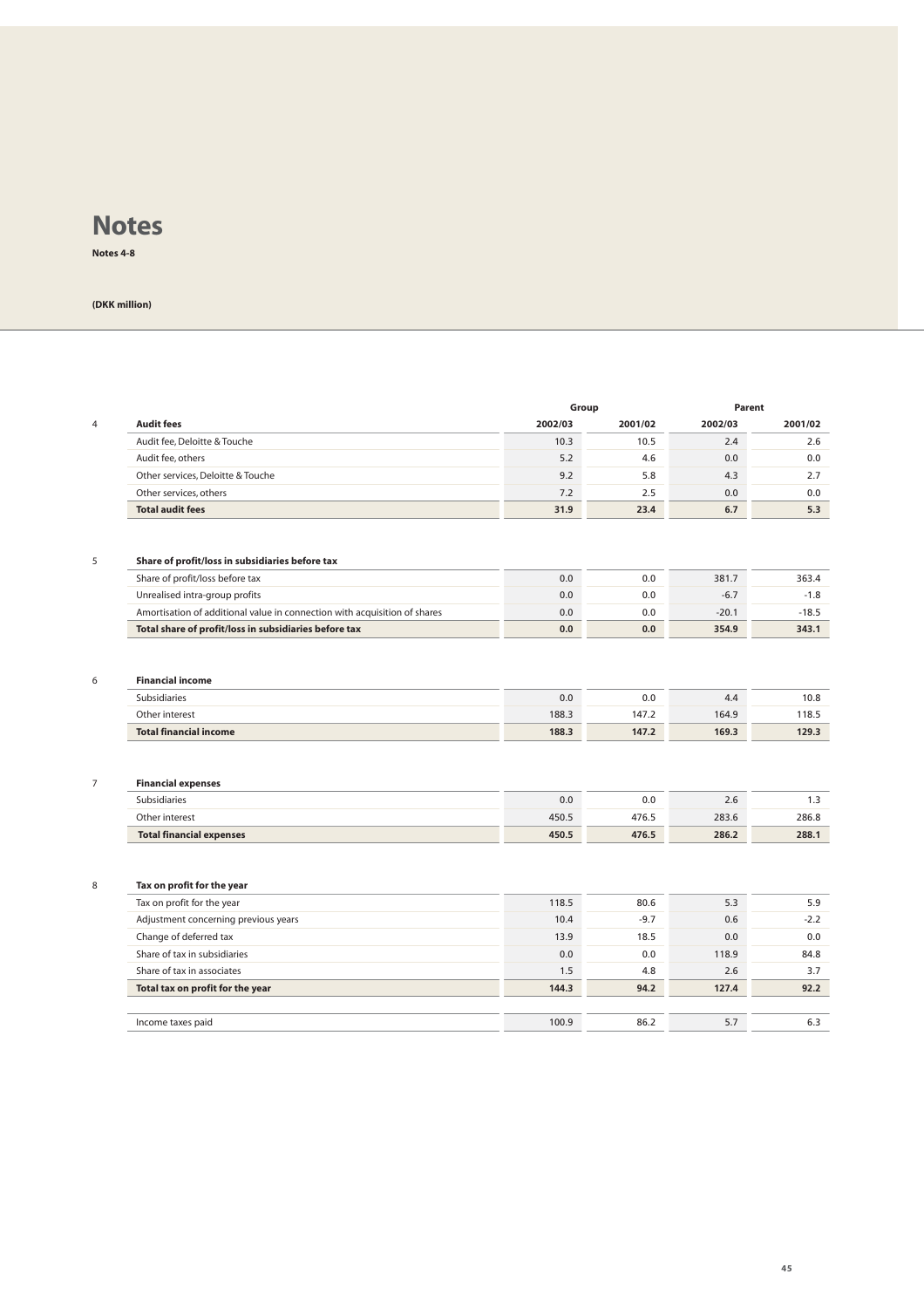**Notes 4-8**

| <b>Audit fees</b><br>Audit fee, Deloitte & Touche                                  | Group   |         | Parent  |                                     |
|------------------------------------------------------------------------------------|---------|---------|---------|-------------------------------------|
|                                                                                    | 2002/03 | 2001/02 | 2002/03 | 2001/02                             |
|                                                                                    | 10.3    | 10.5    | 2.4     | 2.6                                 |
| Audit fee, others                                                                  | 5.2     | 4.6     | 0.0     | 0.0                                 |
| Other services, Deloitte & Touche                                                  | 9.2     | 5.8     | 4.3     | 2.7                                 |
| Other services, others                                                             | 7.2     | 2.5     | 0.0     | 0.0                                 |
| <b>Total audit fees</b>                                                            | 31.9    | 23.4    | 6.7     | 5.3                                 |
|                                                                                    |         |         |         |                                     |
| Share of profit/loss in subsidiaries before tax<br>Share of profit/loss before tax | 0.0     | 0.0     | 381.7   | 363.4                               |
| Unrealised intra-group profits                                                     | 0.0     | 0.0     | $-6.7$  | $-1.8$                              |
| Amortisation of additional value in connection with acquisition of shares          | 0.0     | 0.0     | $-20.1$ | $-18.5$                             |
| Total share of profit/loss in subsidiaries before tax                              | 0.0     | 0.0     | 354.9   | 343.1                               |
|                                                                                    |         |         |         |                                     |
| <b>Total financial income</b>                                                      | 188.3   | 147.2   | 169.3   | 129.3                               |
| <b>Financial expenses</b>                                                          |         |         |         |                                     |
| Subsidiaries                                                                       | 0.0     | 0.0     | 2.6     | 1.3                                 |
| Other interest                                                                     | 450.5   | 476.5   | 283.6   | 286.8                               |
| <b>Total financial expenses</b>                                                    | 450.5   | 476.5   | 286.2   |                                     |
|                                                                                    |         |         |         |                                     |
| Tax on profit for the year                                                         |         |         |         | 288.1                               |
| Tax on profit for the year                                                         | 118.5   | 80.6    | 5.3     |                                     |
| Adjustment concerning previous years                                               | 10.4    | $-9.7$  | 0.6     |                                     |
| Change of deferred tax                                                             | 13.9    | 18.5    | 0.0     |                                     |
| Share of tax in subsidiaries                                                       | 0.0     | 0.0     | 118.9   |                                     |
| Share of tax in associates                                                         | 1.5     | 4.8     | 2.6     | 5.9<br>$-2.2$<br>0.0<br>84.8<br>3.7 |
| Total tax on profit for the year                                                   | 144.3   | 94.2    | 127.4   | 92.2                                |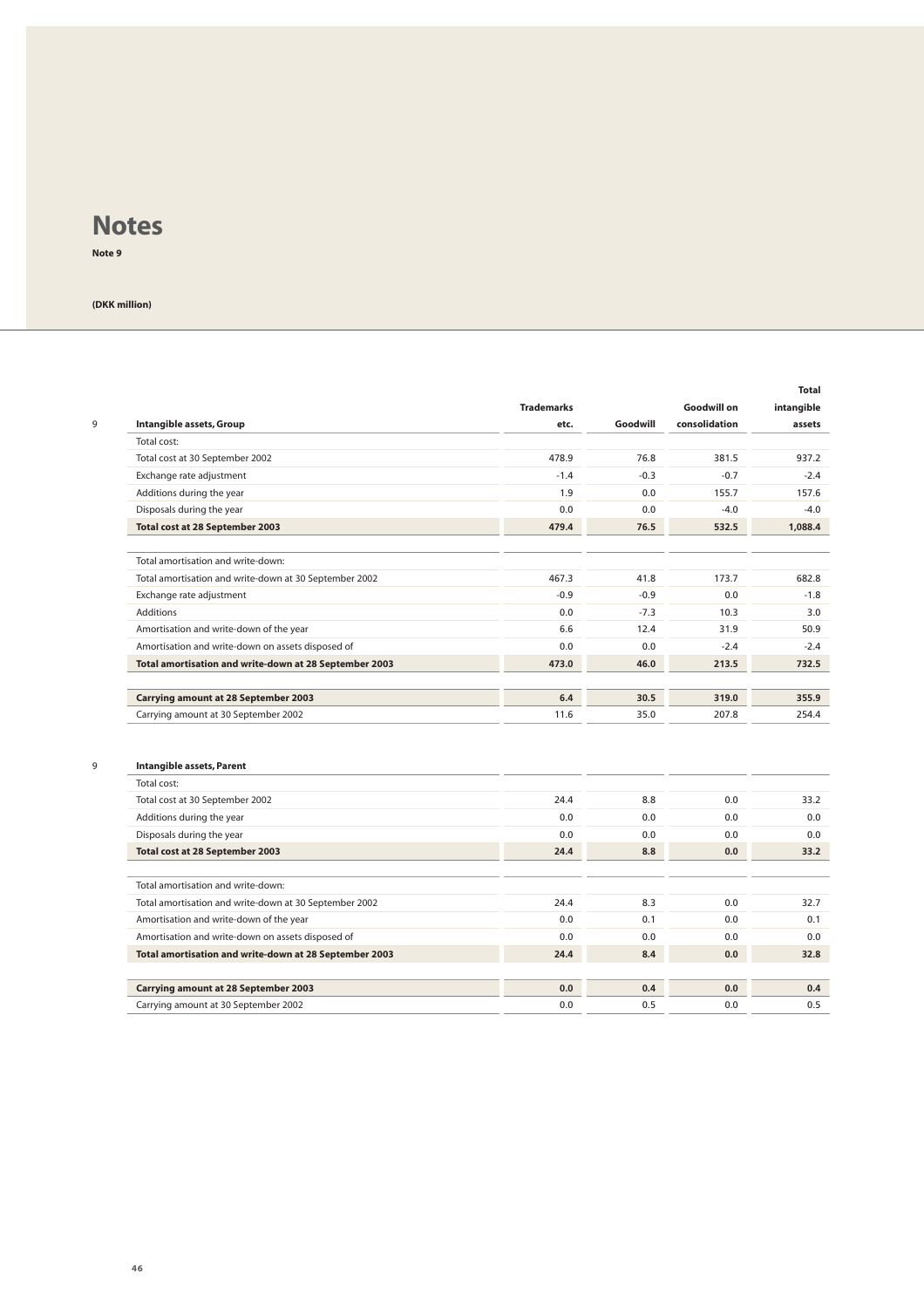**Note 9**

| 9 | Intangible assets, Group                               | <b>Trademarks</b><br>etc. | Goodwill | <b>Goodwill on</b><br>consolidation | <b>Total</b><br>intangible<br>assets |
|---|--------------------------------------------------------|---------------------------|----------|-------------------------------------|--------------------------------------|
|   | Total cost:                                            |                           |          |                                     |                                      |
|   | Total cost at 30 September 2002                        | 478.9                     | 76.8     | 381.5                               | 937.2                                |
|   | Exchange rate adjustment                               | $-1.4$                    | $-0.3$   | $-0.7$                              | $-2.4$                               |
|   | Additions during the year                              | 1.9                       | 0.0      | 155.7                               | 157.6                                |
|   | Disposals during the year                              | 0.0                       | 0.0      | $-4.0$                              | $-4.0$                               |
|   | Total cost at 28 September 2003                        | 479.4                     | 76.5     | 532.5                               | 1,088.4                              |
|   | Total amortisation and write-down:                     |                           |          |                                     |                                      |
|   | Total amortisation and write-down at 30 September 2002 | 467.3                     | 41.8     | 173.7                               | 682.8                                |
|   | Exchange rate adjustment                               | $-0.9$                    | $-0.9$   | 0.0                                 | $-1.8$                               |
|   | <b>Additions</b>                                       | 0.0                       | $-7.3$   | 10.3                                | 3.0                                  |
|   | Amortisation and write-down of the year                | 6.6                       | 12.4     | 31.9                                | 50.9                                 |
|   | Amortisation and write-down on assets disposed of      | 0.0                       | 0.0      | $-2.4$                              | $-2.4$                               |
|   | Total amortisation and write-down at 28 September 2003 | 473.0                     | 46.0     | 213.5                               | 732.5                                |
|   | <b>Carrying amount at 28 September 2003</b>            | 6.4                       | 30.5     | 319.0                               | 355.9                                |
|   | Carrying amount at 30 September 2002                   | 11.6                      | 35.0     | 207.8                               | 254.4                                |
| 9 | Intangible assets, Parent                              |                           |          |                                     |                                      |
|   | Total cost:                                            |                           |          |                                     |                                      |
|   | Total cost at 30 September 2002                        | 24.4                      | 8.8      | 0.0                                 | 33.2                                 |
|   | Additions during the year                              | 0.0                       | 0.0      | 0.0                                 | 0.0                                  |
|   | Disposals during the year                              | 0.0                       | 0.0      | 0.0                                 | 0.0                                  |
|   | Total cost at 28 September 2003                        | 24.4                      | 8.8      | 0.0                                 | 33.2                                 |
|   | Total amortisation and write-down:                     |                           |          |                                     |                                      |
|   | Total amortisation and write-down at 30 September 2002 | 24.4                      | 8.3      | 0.0                                 | 32.7                                 |
|   | Amortisation and write-down of the year                | 0.0                       | 0.1      | 0.0                                 | 0.1                                  |
|   | Amortisation and write-down on assets disposed of      | 0.0                       | 0.0      | 0.0                                 | 0.0                                  |
|   | Total amortisation and write-down at 28 September 2003 | 24.4                      | 8.4      | 0.0                                 | 32.8                                 |
|   | <b>Carrying amount at 28 September 2003</b>            | 0.0                       | 0.4      | 0.0                                 | 0.4                                  |
|   | Carrying amount at 30 September 2002                   | 0.0                       | 0.5      | 0.0                                 | 0.5                                  |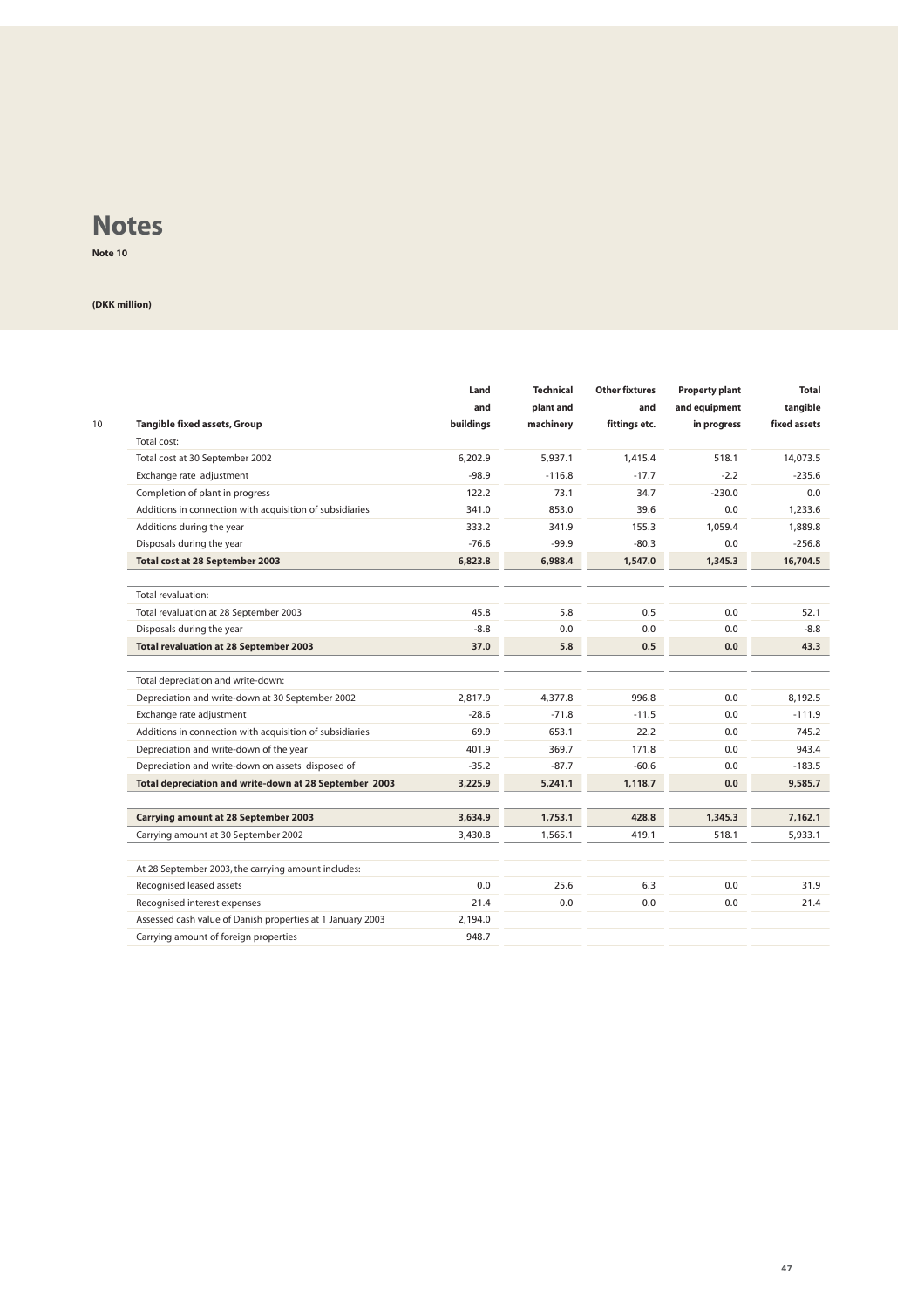**Note 10**

| 10 | <b>Tangible fixed assets, Group</b><br>Total cost:         | Land<br>and<br>buildings | <b>Technical</b><br>plant and<br>machinery | <b>Other fixtures</b><br>and<br>fittings etc. | <b>Property plant</b><br>and equipment<br>in progress | <b>Total</b><br>tangible<br>fixed assets |
|----|------------------------------------------------------------|--------------------------|--------------------------------------------|-----------------------------------------------|-------------------------------------------------------|------------------------------------------|
|    | Total cost at 30 September 2002                            | 6.202.9                  | 5.937.1                                    | 1.415.4                                       | 518.1                                                 | 14.073.5                                 |
|    | Exchange rate adjustment                                   | $-98.9$                  | $-116.8$                                   | $-17.7$                                       | $-2.2$                                                | $-235.6$                                 |
|    | Completion of plant in progress                            | 122.2                    | 73.1                                       | 34.7                                          | $-230.0$                                              | 0.0                                      |
|    | Additions in connection with acquisition of subsidiaries   | 341.0                    | 853.0                                      | 39.6                                          | 0.0                                                   | 1,233.6                                  |
|    | Additions during the year                                  | 333.2                    | 341.9                                      | 155.3                                         | 1.059.4                                               | 1,889.8                                  |
|    | Disposals during the year                                  | $-76.6$                  | $-99.9$                                    | $-80.3$                                       | 0.0                                                   | $-256.8$                                 |
|    | Total cost at 28 September 2003                            | 6,823.8                  | 6,988.4                                    | 1,547.0                                       | 1,345.3                                               | 16,704.5                                 |
|    |                                                            |                          |                                            |                                               |                                                       |                                          |
|    | Total revaluation:                                         |                          |                                            |                                               |                                                       |                                          |
|    | Total revaluation at 28 September 2003                     | 45.8                     | 5.8                                        | 0.5                                           | 0.0                                                   | 52.1                                     |
|    | Disposals during the year                                  | $-8.8$                   | 0.0                                        | 0.0                                           | 0.0                                                   | $-8.8$                                   |
|    | <b>Total revaluation at 28 September 2003</b>              | 37.0                     | 5.8                                        | 0.5                                           | 0.0                                                   | 43.3                                     |
|    | Total depreciation and write-down:                         |                          |                                            |                                               |                                                       |                                          |
|    | Depreciation and write-down at 30 September 2002           | 2,817.9                  | 4,377.8                                    | 996.8                                         | 0.0                                                   | 8,192.5                                  |
|    | Exchange rate adjustment                                   | $-28.6$                  | $-71.8$                                    | $-11.5$                                       | 0.0                                                   | $-111.9$                                 |
|    | Additions in connection with acquisition of subsidiaries   | 69.9                     | 653.1                                      | 22.2                                          | 0.0                                                   | 745.2                                    |
|    | Depreciation and write-down of the year                    | 401.9                    | 369.7                                      | 171.8                                         | 0.0                                                   | 943.4                                    |
|    | Depreciation and write-down on assets disposed of          | $-35.2$                  | $-87.7$                                    | $-60.6$                                       | 0.0                                                   | $-183.5$                                 |
|    | Total depreciation and write-down at 28 September 2003     | 3.225.9                  | 5.241.1                                    | 1.118.7                                       | 0.0                                                   | 9,585.7                                  |
|    | <b>Carrying amount at 28 September 2003</b>                | 3.634.9                  | 1,753.1                                    | 428.8                                         | 1,345.3                                               | 7,162.1                                  |
|    | Carrying amount at 30 September 2002                       | 3,430.8                  | 1,565.1                                    | 419.1                                         | 518.1                                                 | 5,933.1                                  |
|    |                                                            |                          |                                            |                                               |                                                       |                                          |
|    | At 28 September 2003, the carrying amount includes:        |                          |                                            |                                               |                                                       |                                          |
|    | Recognised leased assets                                   | 0.0                      | 25.6                                       | 6.3                                           | 0.0                                                   | 31.9                                     |
|    | Recognised interest expenses                               | 21.4                     | 0.0                                        | 0.0                                           | 0.0                                                   | 21.4                                     |
|    | Assessed cash value of Danish properties at 1 January 2003 | 2,194.0                  |                                            |                                               |                                                       |                                          |
|    | Carrying amount of foreign properties                      | 948.7                    |                                            |                                               |                                                       |                                          |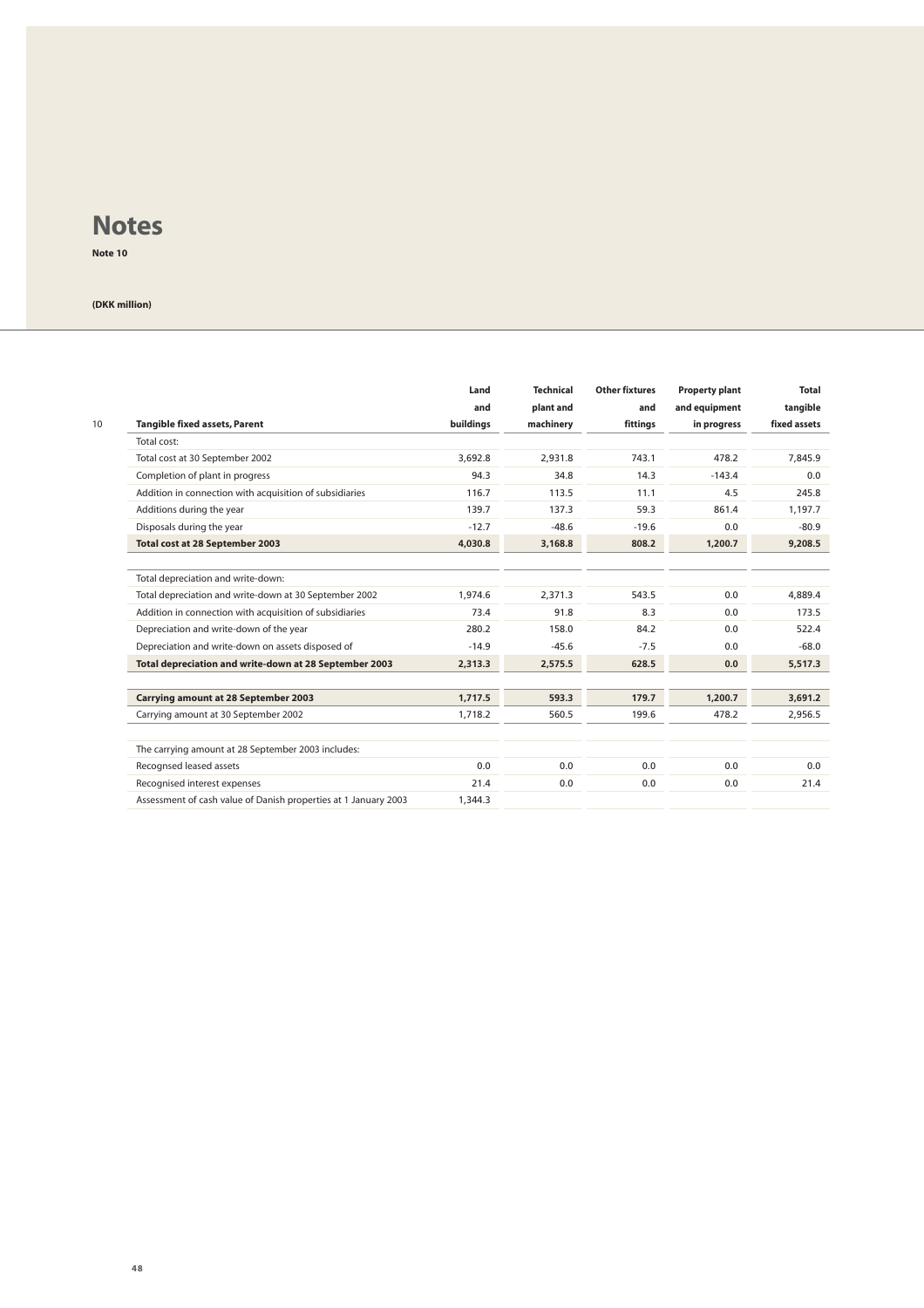**Note 10**

|    |                                                                 | Land<br>and | <b>Technical</b><br>plant and | <b>Other fixtures</b><br>and | <b>Property plant</b><br>and equipment | <b>Total</b><br>tangible |
|----|-----------------------------------------------------------------|-------------|-------------------------------|------------------------------|----------------------------------------|--------------------------|
| 10 | <b>Tangible fixed assets, Parent</b>                            | buildings   | machinery                     | fittings                     | in progress                            | fixed assets             |
|    | Total cost:                                                     |             |                               |                              |                                        |                          |
|    | Total cost at 30 September 2002                                 | 3.692.8     | 2.931.8                       | 743.1                        | 478.2                                  | 7.845.9                  |
|    | Completion of plant in progress                                 | 94.3        | 34.8                          | 14.3                         | $-143.4$                               | 0.0                      |
|    | Addition in connection with acquisition of subsidiaries         | 116.7       | 113.5                         | 11.1                         | 4.5                                    | 245.8                    |
|    | Additions during the year                                       | 139.7       | 137.3                         | 59.3                         | 861.4                                  | 1,197.7                  |
|    | Disposals during the year                                       | $-12.7$     | $-48.6$                       | $-19.6$                      | 0.0                                    | $-80.9$                  |
|    | Total cost at 28 September 2003                                 | 4.030.8     | 3,168.8                       | 808.2                        | 1,200.7                                | 9.208.5                  |
|    |                                                                 |             |                               |                              |                                        |                          |
|    | Total depreciation and write-down:                              |             |                               |                              |                                        |                          |
|    | Total depreciation and write-down at 30 September 2002          | 1.974.6     | 2.371.3                       | 543.5                        | 0.0                                    | 4.889.4                  |
|    | Addition in connection with acquisition of subsidiaries         | 73.4        | 91.8                          | 8.3                          | 0.0                                    | 173.5                    |
|    | Depreciation and write-down of the year                         | 280.2       | 158.0                         | 84.2                         | 0.0                                    | 522.4                    |
|    | Depreciation and write-down on assets disposed of               | $-14.9$     | $-45.6$                       | $-7.5$                       | 0.0                                    | $-68.0$                  |
|    | Total depreciation and write-down at 28 September 2003          | 2,313.3     | 2,575.5                       | 628.5                        | 0.0                                    | 5,517.3                  |
|    |                                                                 |             |                               |                              |                                        |                          |
|    | <b>Carrying amount at 28 September 2003</b>                     | 1.717.5     | 593.3                         | 179.7                        | 1,200.7                                | 3.691.2                  |
|    | Carrying amount at 30 September 2002                            | 1.718.2     | 560.5                         | 199.6                        | 478.2                                  | 2,956.5                  |
|    | The carrying amount at 28 September 2003 includes:              |             |                               |                              |                                        |                          |
|    | Recognsed leased assets                                         | 0.0         | 0.0                           | 0.0                          | 0.0                                    | 0.0                      |
|    | Recognised interest expenses                                    | 21.4        | 0.0                           | 0.0                          | 0.0                                    | 21.4                     |
|    | Assessment of cash value of Danish properties at 1 January 2003 | 1,344.3     |                               |                              |                                        |                          |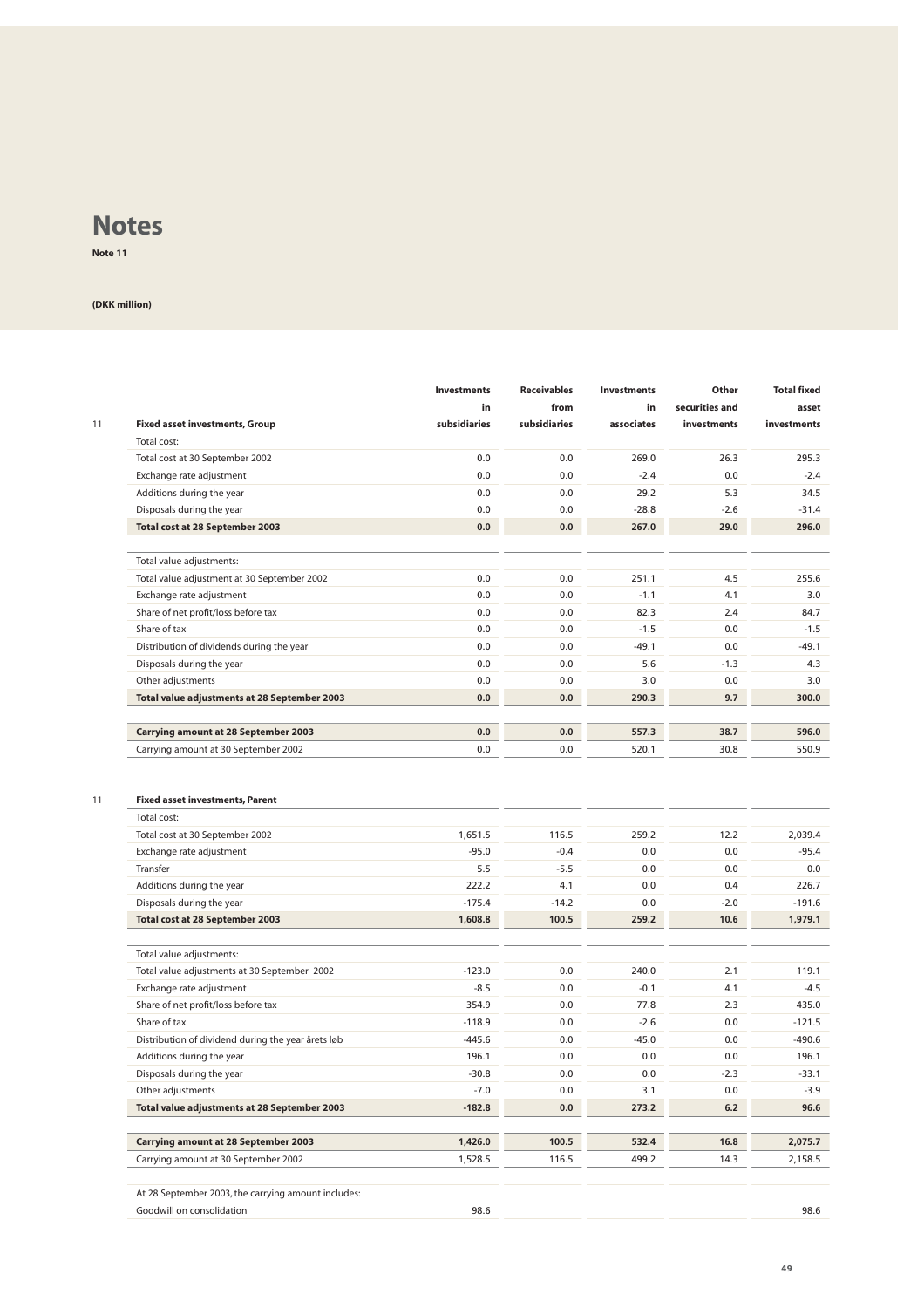**Note 11**

#### **(DKK million)**

| 11 | <b>Fixed asset investments, Group</b>                 | <b>Investments</b><br>in<br>subsidiaries | <b>Receivables</b><br>from<br>subsidiaries | <b>Investments</b><br>in<br>associates | Other<br>securities and<br>investments | <b>Total fixed</b><br>asset<br>investments |
|----|-------------------------------------------------------|------------------------------------------|--------------------------------------------|----------------------------------------|----------------------------------------|--------------------------------------------|
|    | Total cost:                                           |                                          |                                            |                                        |                                        |                                            |
|    | Total cost at 30 September 2002                       | 0.0                                      | 0.0                                        | 269.0                                  | 26.3                                   | 295.3                                      |
|    | Exchange rate adjustment                              | 0.0                                      | 0.0                                        | $-2.4$                                 | 0.0                                    | $-2.4$                                     |
|    | Additions during the year                             | 0.0                                      | 0.0                                        | 29.2                                   | 5.3                                    | 34.5                                       |
|    | Disposals during the year                             | 0.0                                      | 0.0                                        | $-28.8$                                | $-2.6$                                 | $-31.4$                                    |
|    | Total cost at 28 September 2003                       | 0.0                                      | 0.0                                        | 267.0                                  | 29.0                                   | 296.0                                      |
|    | Total value adjustments:                              |                                          |                                            |                                        |                                        |                                            |
|    | Total value adjustment at 30 September 2002           | 0.0                                      | 0.0                                        | 251.1                                  | 4.5                                    | 255.6                                      |
|    | Exchange rate adjustment                              | 0.0                                      | 0.0                                        | $-1.1$                                 | 4.1                                    | 3.0                                        |
|    | Share of net profit/loss before tax                   | 0.0                                      | 0.0                                        | 82.3                                   | 2.4                                    | 84.7                                       |
|    | Share of tax                                          | 0.0                                      | 0.0                                        | $-1.5$                                 | 0.0                                    | $-1.5$                                     |
|    | Distribution of dividends during the year             | 0.0                                      | 0.0                                        | $-49.1$                                | 0.0                                    | $-49.1$                                    |
|    | Disposals during the year                             | 0.0                                      | 0.0                                        | 5.6                                    | $-1.3$                                 | 4.3                                        |
|    | Other adjustments                                     | 0.0                                      | 0.0                                        | 3.0                                    | 0.0                                    | 3.0                                        |
|    | Total value adjustments at 28 September 2003          | 0.0                                      | 0.0                                        | 290.3                                  | 9.7                                    | 300.0                                      |
|    | <b>Carrying amount at 28 September 2003</b>           | 0.0                                      | 0.0                                        | 557.3                                  | 38.7                                   | 596.0                                      |
|    | Carrying amount at 30 September 2002                  | 0.0                                      | 0.0                                        | 520.1                                  | 30.8                                   | 550.9                                      |
| 11 | <b>Fixed asset investments, Parent</b><br>Total cost: |                                          |                                            |                                        |                                        |                                            |
|    | Total cost at 30 September 2002                       | 1,651.5                                  | 116.5                                      | 259.2                                  | 12.2                                   | 2,039.4                                    |
|    | Exchange rate adjustment                              | $-95.0$                                  | $-0.4$                                     | 0.0                                    | 0.0                                    | $-95.4$                                    |
|    | Transfer                                              | 5.5                                      | $-5.5$                                     | 0.0                                    | 0.0                                    | 0.0                                        |
|    | Additions during the year                             | 222.2                                    | 4.1                                        | 0.0                                    | 0.4                                    | 226.7                                      |
|    | Disposals during the year                             | $-175.4$                                 | $-14.2$                                    | 0.0                                    | $-2.0$                                 | $-191.6$                                   |
|    | Total cost at 28 September 2003                       | 1,608.8                                  | 100.5                                      | 259.2                                  | 10.6                                   | 1,979.1                                    |
|    | Total value adjustments:                              |                                          |                                            |                                        |                                        |                                            |
|    | Total value adjustments at 30 September 2002          | $-123.0$                                 | 0.0                                        | 240.0                                  | 2.1                                    | 119.1                                      |
|    | Exchange rate adjustment                              | $-8.5$                                   | 0.0                                        | $-0.1$                                 | 4.1                                    | $-4.5$                                     |
|    | Share of net profit/loss before tax                   | 354.9                                    | 0.0                                        | 77.8                                   | 2.3                                    | 435.0                                      |
|    | Share of tax                                          | $-118.9$                                 | 0.0                                        | $-2.6$                                 | 0.0                                    | $-121.5$                                   |
|    | Distribution of dividend during the year årets løb    | $-445.6$                                 | 0.0                                        | $-45.0$                                | 0.0                                    | $-490.6$                                   |
|    | Additions during the year                             | 196.1                                    | 0.0                                        | 0.0                                    | 0.0                                    | 196.1                                      |
|    | Disposals during the year                             | $-30.8$                                  | 0.0                                        | 0.0                                    | $-2.3$                                 | $-33.1$                                    |
|    | Other adjustments                                     | $-7.0$                                   | 0.0                                        | 3.1                                    | 0.0                                    | $-3.9$                                     |
|    | Total value adjustments at 28 September 2003          | $-182.8$                                 | 0.0                                        | 273.2                                  | 6.2                                    | 96.6                                       |
|    |                                                       |                                          |                                            |                                        |                                        |                                            |
|    | <b>Carrying amount at 28 September 2003</b>           | 1,426.0                                  | 100.5                                      | 532.4                                  | 16.8                                   | 2,075.7                                    |
|    | Carrying amount at 30 September 2002                  | 1,528.5                                  | 116.5                                      | 499.2                                  | 14.3                                   | 2,158.5                                    |

98.6 98.6 At 28 September 2003, the carrying amount includes: Goodwill on consolidation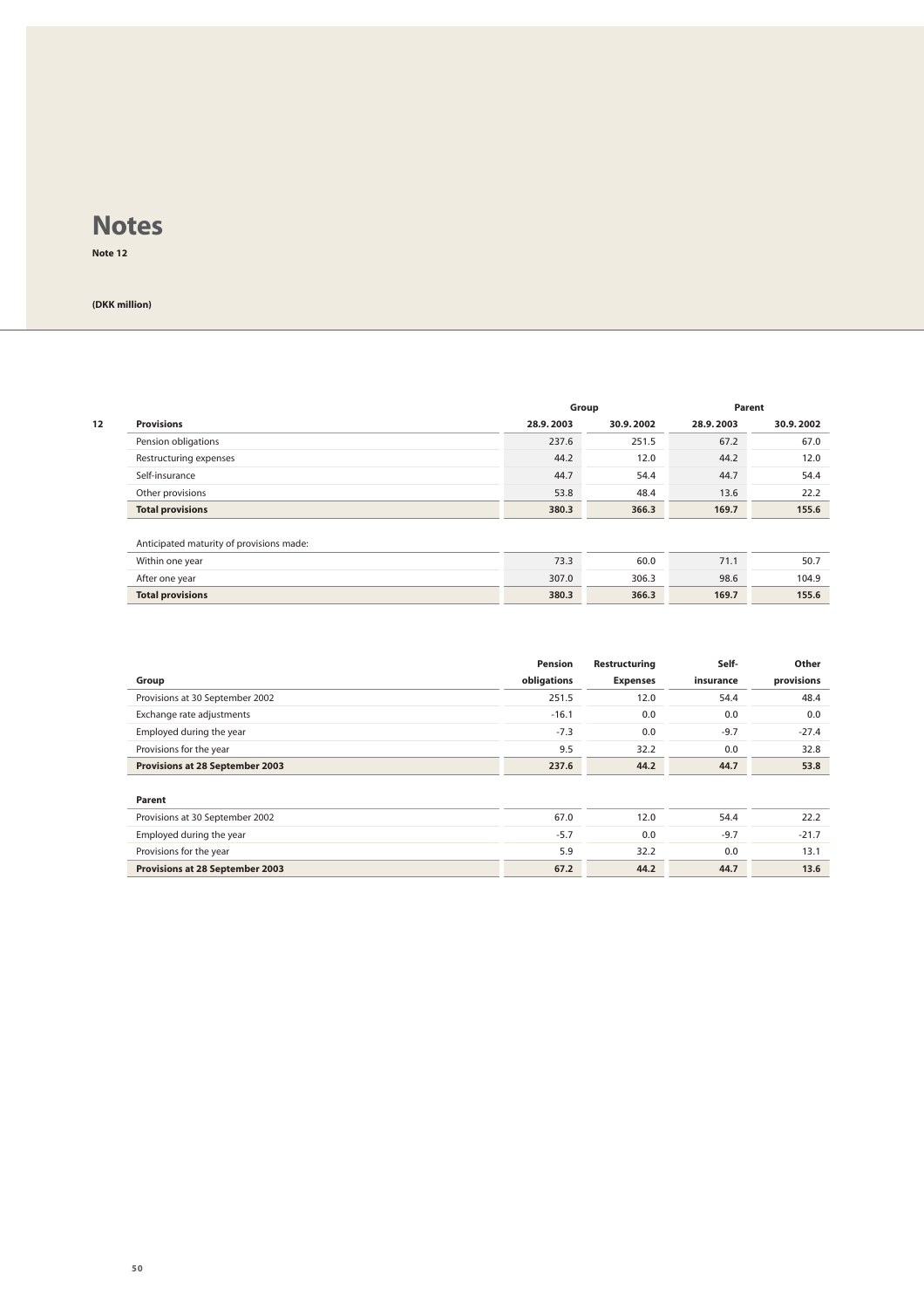**Note 12**

|    |                                          |           | Group     |           | Parent    |
|----|------------------------------------------|-----------|-----------|-----------|-----------|
| 12 | <b>Provisions</b>                        | 28.9.2003 | 30.9.2002 | 28.9.2003 | 30.9.2002 |
|    | Pension obligations                      | 237.6     | 251.5     | 67.2      | 67.0      |
|    | Restructuring expenses                   | 44.2      | 12.0      | 44.2      | 12.0      |
|    | Self-insurance                           | 44.7      | 54.4      | 44.7      | 54.4      |
|    | Other provisions                         | 53.8      | 48.4      | 13.6      | 22.2      |
|    | <b>Total provisions</b>                  | 380.3     | 366.3     | 169.7     | 155.6     |
|    | Anticipated maturity of provisions made: |           |           |           |           |
|    | Within one year                          | 73.3      | 60.0      | 71.1      | 50.7      |
|    | After one year                           | 307.0     | 306.3     | 98.6      | 104.9     |
|    | <b>Total provisions</b>                  | 380.3     | 366.3     | 169.7     | 155.6     |

|                                 | Pension     | Restructuring   | Self-     | Other      |
|---------------------------------|-------------|-----------------|-----------|------------|
| Group                           | obligations | <b>Expenses</b> | insurance | provisions |
| Provisions at 30 September 2002 | 251.5       | 12.0            | 54.4      | 48.4       |
| Exchange rate adjustments       | $-16.1$     | 0.0             | 0.0       | 0.0        |
| Employed during the year        | $-7.3$      | 0.0             | $-9.7$    | $-27.4$    |
| Provisions for the year         | 9.5         | 32.2            | 0.0       | 32.8       |
| Provisions at 28 September 2003 | 237.6       | 44.2            | 44.7      | 53.8       |
|                                 |             |                 |           |            |
| Parent                          |             |                 |           |            |
| Provisions at 30 September 2002 | 67.0        | 12.0            | 54.4      | 22.2       |
| Employed during the year        | $-5.7$      | 0.0             | $-9.7$    | $-21.7$    |
| Provisions for the year         | 5.9         | 32.2            | 0.0       | 13.1       |
| Provisions at 28 September 2003 | 67.2        | 44.2            | 44.7      | 13.6       |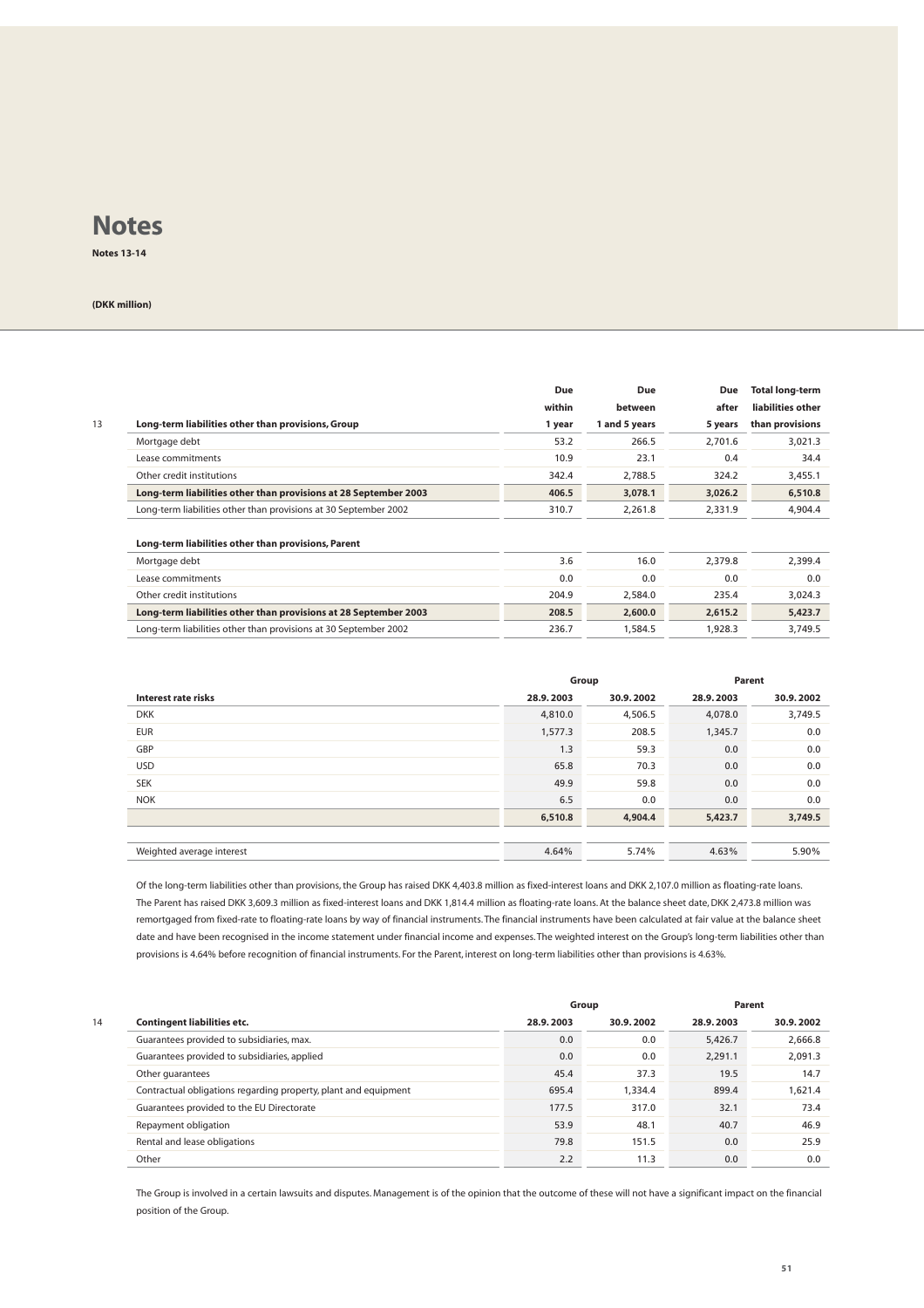**Notes 13-14**

#### **(DKK million)**

|                                                                  | Due    | <b>Due</b>    | Due     | <b>Total long-term</b> |
|------------------------------------------------------------------|--------|---------------|---------|------------------------|
|                                                                  | within | between       | after   | liabilities other      |
| Long-term liabilities other than provisions, Group               | 1 year | 1 and 5 years | 5 years | than provisions        |
| Mortgage debt                                                    | 53.2   | 266.5         | 2,701.6 | 3,021.3                |
| Lease commitments                                                | 10.9   | 23.1          | 0.4     | 34.4                   |
| Other credit institutions                                        | 342.4  | 2,788.5       | 324.2   | 3,455.1                |
| Long-term liabilities other than provisions at 28 September 2003 | 406.5  | 3,078.1       | 3,026.2 | 6,510.8                |
| Long-term liabilities other than provisions at 30 September 2002 | 310.7  | 2,261.8       | 2,331.9 | 4,904.4                |
| Long-term liabilities other than provisions, Parent              |        |               |         |                        |
| Mortgage debt                                                    | 3.6    | 16.0          | 2,379.8 | 2,399.4                |
| Lease commitments                                                | 0.0    | 0.0           | 0.0     | 0.0                    |
| Other credit institutions                                        | 204.9  | 2,584.0       | 235.4   | 3,024.3                |
| Long-term liabilities other than provisions at 28 September 2003 | 208.5  | 2,600.0       | 2,615.2 | 5,423.7                |
| Long-term liabilities other than provisions at 30 September 2002 | 236.7  | 1,584.5       | 1,928.3 | 3,749.5                |

|                           | Group     |           |           | Parent    |
|---------------------------|-----------|-----------|-----------|-----------|
| Interest rate risks       | 28.9.2003 | 30.9.2002 | 28.9.2003 | 30.9.2002 |
| <b>DKK</b>                | 4,810.0   | 4,506.5   | 4,078.0   | 3,749.5   |
| <b>EUR</b>                | 1,577.3   | 208.5     | 1,345.7   | 0.0       |
| GBP                       | 1.3       | 59.3      | 0.0       | 0.0       |
| <b>USD</b>                | 65.8      | 70.3      | 0.0       | 0.0       |
| <b>SEK</b>                | 49.9      | 59.8      | 0.0       | 0.0       |
| <b>NOK</b>                | 6.5       | 0.0       | 0.0       | 0.0       |
|                           | 6,510.8   | 4,904.4   | 5,423.7   | 3,749.5   |
|                           |           |           |           |           |
| Weighted average interest | 4.64%     | 5.74%     | 4.63%     | 5.90%     |

Of the long-term liabilities other than provisions, the Group has raised DKK 4,403.8 million as fixed-interest loans and DKK 2,107.0 million as floating-rate loans. The Parent has raised DKK 3,609.3 million as fixed-interest loans and DKK 1,814.4 million as floating-rate loans. At the balance sheet date, DKK 2,473.8 million was remortgaged from fixed-rate to floating-rate loans by way of financial instruments. The financial instruments have been calculated at fair value at the balance sheet date and have been recognised in the income statement under financial income and expenses. The weighted interest on the Group's long-term liabilities other than provisions is 4.64% before recognition of financial instruments. For the Parent, interest on long-term liabilities other than provisions is 4.63%.

|    |                                                                 |           | Group     |           | Parent    |
|----|-----------------------------------------------------------------|-----------|-----------|-----------|-----------|
| 14 | <b>Contingent liabilities etc.</b>                              | 28.9.2003 | 30.9.2002 | 28.9.2003 | 30.9.2002 |
|    | Guarantees provided to subsidiaries, max.                       | 0.0       | 0.0       | 5,426.7   | 2,666.8   |
|    | Guarantees provided to subsidiaries, applied                    | 0.0       | 0.0       | 2,291.1   | 2,091.3   |
|    | Other guarantees                                                | 45.4      | 37.3      | 19.5      | 14.7      |
|    | Contractual obligations regarding property, plant and equipment | 695.4     | 1.334.4   | 899.4     | 1.621.4   |
|    | Guarantees provided to the EU Directorate                       | 177.5     | 317.0     | 32.1      | 73.4      |
|    | Repayment obligation                                            | 53.9      | 48.1      | 40.7      | 46.9      |
|    | Rental and lease obligations                                    | 79.8      | 151.5     | 0.0       | 25.9      |
|    | Other                                                           | 2.2       | 11.3      | 0.0       | 0.0       |

The Group is involved in a certain lawsuits and disputes. Management is of the opinion that the outcome of these will not have a significant impact on the financial position of the Group.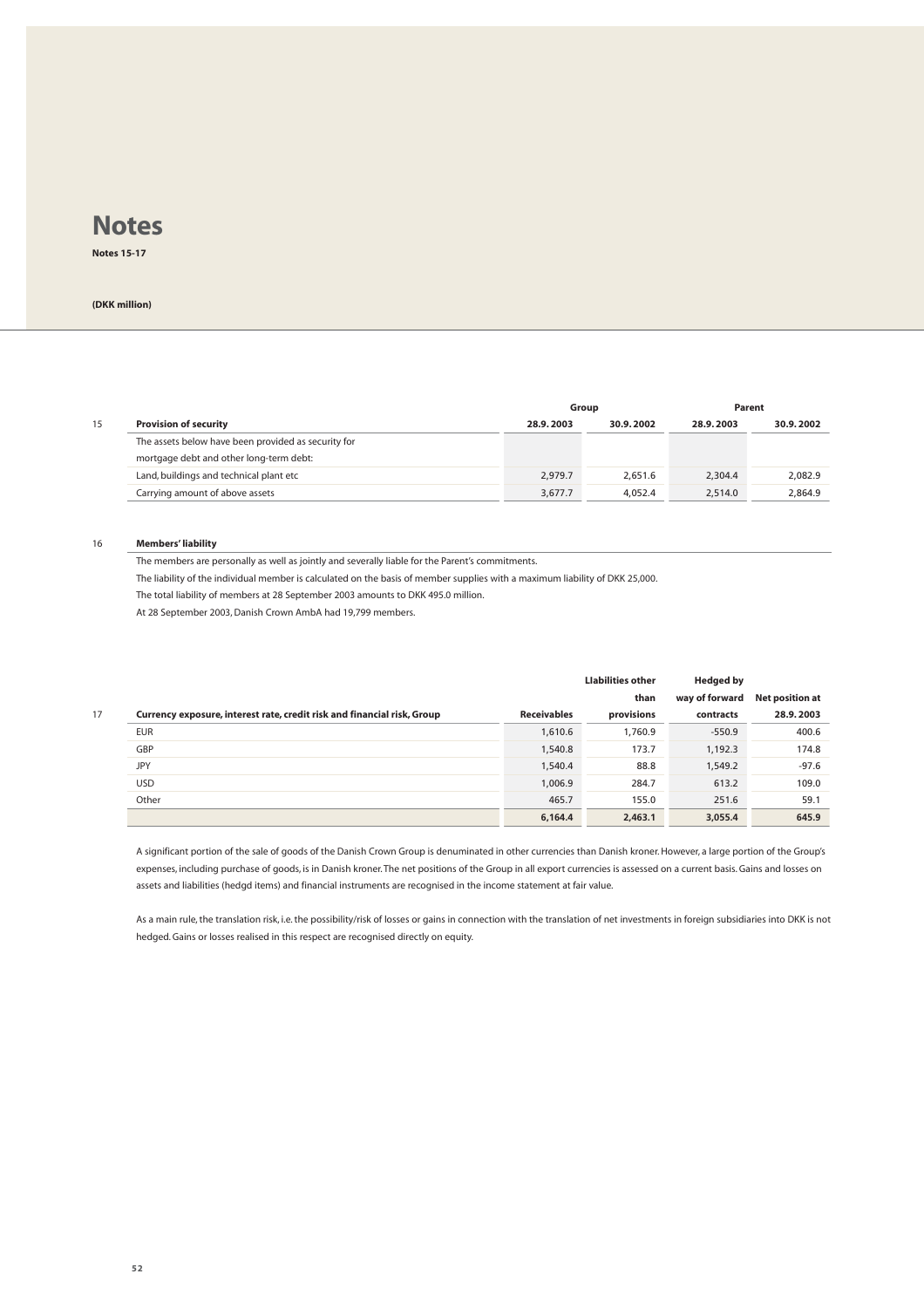**Notes 15-17**

#### **(DKK million)**

|    |                                                     |           | Group     |           | Parent    |
|----|-----------------------------------------------------|-----------|-----------|-----------|-----------|
| 15 | <b>Provision of security</b>                        | 28.9.2003 | 30.9.2002 | 28.9.2003 | 30.9.2002 |
|    | The assets below have been provided as security for |           |           |           |           |
|    | mortgage debt and other long-term debt:             |           |           |           |           |
|    | Land, buildings and technical plant etc             | 2.979.7   | 2.651.6   | 2.304.4   | 2,082.9   |
|    | Carrying amount of above assets                     | 3.677.7   | 4.052.4   | 2.514.0   | 2.864.9   |

#### 16 **Members' liability**

The members are personally as well as jointly and severally liable for the Parent's commitments.

The liability of the individual member is calculated on the basis of member supplies with a maximum liability of DKK 25,000.

The total liability of members at 28 September 2003 amounts to DKK 495.0 million.

At 28 September 2003, Danish Crown AmbA had 19,799 members.

|                                                                         |                    | <b>Llabilities other</b> | <b>Hedged by</b> |                        |
|-------------------------------------------------------------------------|--------------------|--------------------------|------------------|------------------------|
|                                                                         |                    | than                     | way of forward   | <b>Net position at</b> |
| Currency exposure, interest rate, credit risk and financial risk, Group | <b>Receivables</b> | provisions               | contracts        | 28.9.2003              |
| <b>EUR</b>                                                              | 1,610.6            | 1,760.9                  | $-550.9$         | 400.6                  |
| GBP                                                                     | 1,540.8            | 173.7                    | 1,192.3          | 174.8                  |
| <b>JPY</b>                                                              | 1,540.4            | 88.8                     | 1,549.2          | $-97.6$                |
| <b>USD</b>                                                              | 1,006.9            | 284.7                    | 613.2            | 109.0                  |
| Other                                                                   | 465.7              | 155.0                    | 251.6            | 59.1                   |
|                                                                         | 6,164.4            | 2,463.1                  | 3,055.4          | 645.9                  |
|                                                                         |                    |                          |                  |                        |

A significant portion of the sale of goods of the Danish Crown Group is denuminated in other currencies than Danish kroner. However, a large portion of the Group's expenses, including purchase of goods, is in Danish kroner. The net positions of the Group in all export currencies is assessed on a current basis. Gains and losses on assets and liabilities (hedgd items) and financial instruments are recognised in the income statement at fair value.

As a main rule, the translation risk, i.e. the possibility/risk of losses or gains in connection with the translation of net investments in foreign subsidiaries into DKK is not hedged. Gains or losses realised in this respect are recognised directly on equity.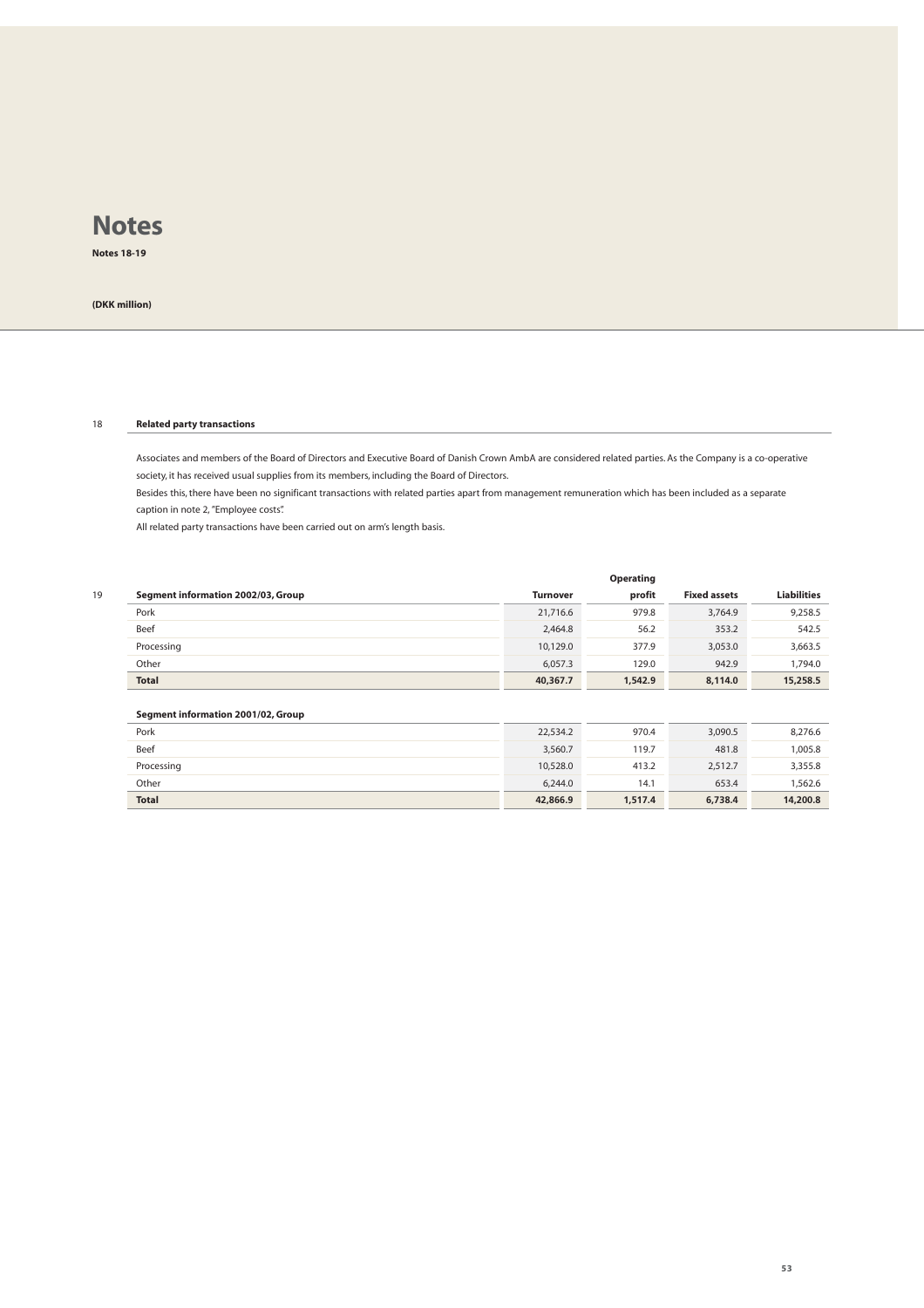**Notes 18-19**

**(DKK million)**

#### 18 **Related party transactions**

Associates and members of the Board of Directors and Executive Board of Danish Crown AmbA are considered related parties. As the Company is a co-operative society, it has received usual supplies from its members, including the Board of Directors.

Besides this, there have been no significant transactions with related parties apart from management remuneration which has been included as a separate caption in note 2, "Employee costs".

All related party transactions have been carried out on arm's length basis.

|    |                                    |                 | Operating |                     |                    |
|----|------------------------------------|-----------------|-----------|---------------------|--------------------|
| 19 | Segment information 2002/03, Group | <b>Turnover</b> | profit    | <b>Fixed assets</b> | <b>Liabilities</b> |
|    | Pork                               | 21,716.6        | 979.8     | 3,764.9             | 9,258.5            |
|    | Beef                               | 2,464.8         | 56.2      | 353.2               | 542.5              |
|    | Processing                         | 10,129.0        | 377.9     | 3,053.0             | 3,663.5            |
|    | Other                              | 6.057.3         | 129.0     | 942.9               | 1.794.0            |
|    | <b>Total</b>                       | 40,367.7        | 1,542.9   | 8,114.0             | 15,258.5           |

#### **Segment information 2001/02, Group**

| Pork         | 22,534.2 | 970.4   | 3,090.5 | 8,276.6  |
|--------------|----------|---------|---------|----------|
| Beef         | 3,560.7  | 119.7   | 481.8   | 1,005.8  |
| Processing   | 10,528.0 | 413.2   | 2,512.7 | 3,355.8  |
| Other        | 6,244.0  | 14.1    | 653.4   | 1,562.6  |
| <b>Total</b> | 42,866.9 | 1,517.4 | 6,738.4 | 14,200.8 |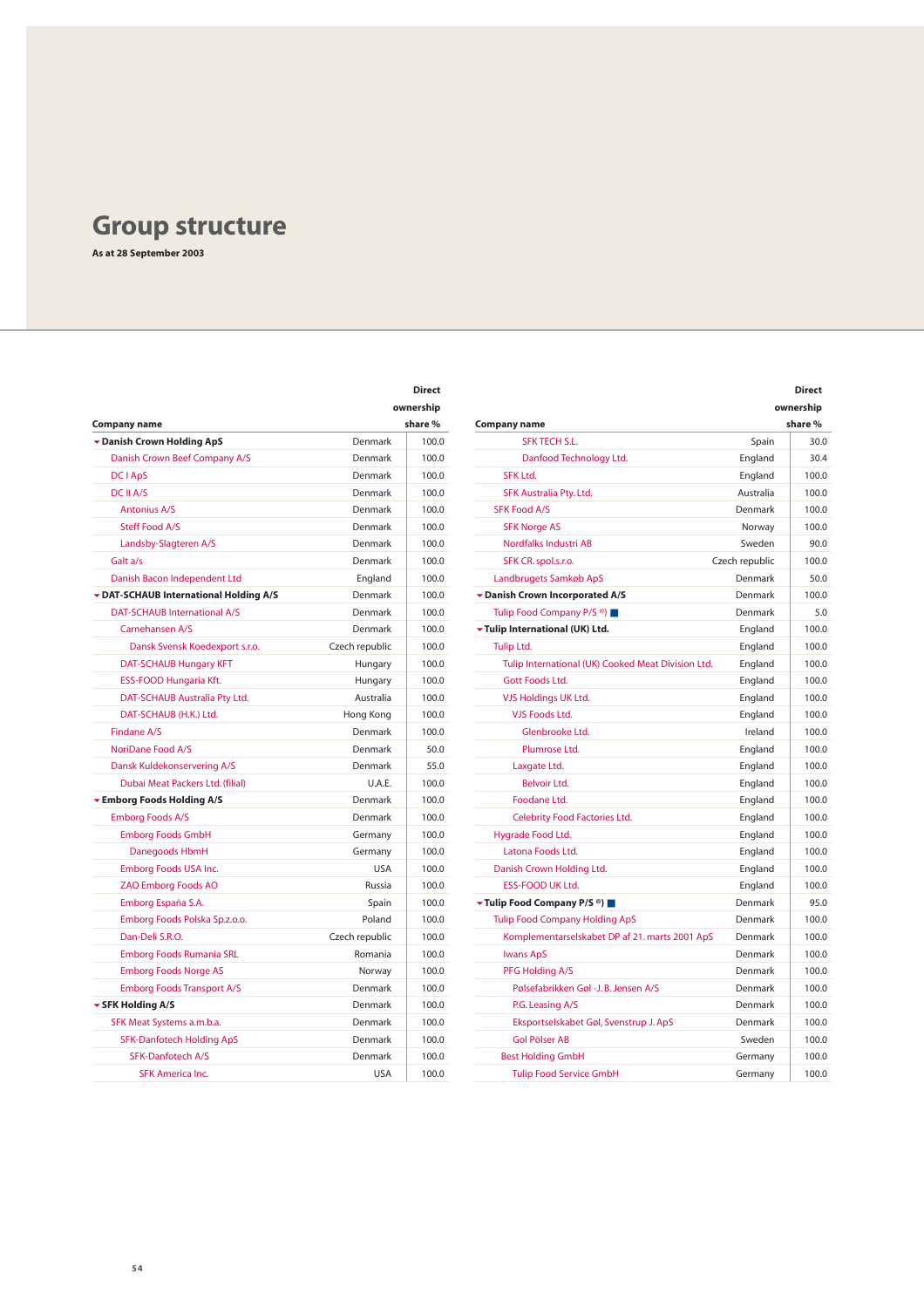# **Group structure**

**As at 28 September 2003**

|                                      |                | ownership                      |                                                    |                | ownership |  |
|--------------------------------------|----------------|--------------------------------|----------------------------------------------------|----------------|-----------|--|
| Company name                         |                | share %<br><b>Company name</b> |                                                    |                | share %   |  |
| Danish Crown Holding ApS             | Denmark        | 100.0                          | <b>SFK TECH S.L.</b>                               | Spain          | 30.       |  |
| Danish Crown Beef Company A/S        | Denmark        | 100.0                          | Danfood Technology Ltd.                            | England        | 30.       |  |
| DC I ApS                             | Denmark        | 100.0                          | <b>SFK Ltd.</b>                                    | England        | 100       |  |
| DC II A/S                            | Denmark        | 100.0                          | SFK Australia Pty. Ltd.                            | Australia      | 100       |  |
| <b>Antonius A/S</b>                  | Denmark        | 100.0                          | <b>SFK Food A/S</b>                                | Denmark        | 100       |  |
| Steff Food A/S                       | Denmark        | 100.0                          | <b>SFK Norge AS</b>                                | Norway         | 100       |  |
| Landsby-Slagteren A/S                | Denmark        | 100.0                          | Nordfalks Industri AB                              | Sweden         | 90        |  |
| Galt a/s                             | Denmark        | 100.0                          | SFK CR. spol.s.r.o.                                | Czech republic | 100       |  |
| Danish Bacon Independent Ltd         | England        | 100.0                          | Landbrugets Samkøb ApS                             | Denmark        | 50        |  |
| DAT-SCHAUB International Holding A/S | Denmark        | 100.0                          | Danish Crown Incorporated A/S                      | Denmark        | 100       |  |
| <b>DAT-SCHAUB International A/S</b>  | Denmark        | 100.0                          | Tulip Food Company P/S <sup>®</sup> )              | Denmark        | 5.        |  |
| Carnehansen A/S                      | Denmark        | 100.0                          | Tulip International (UK) Ltd.                      | England        | 100       |  |
| Dansk Svensk Koedexport s.r.o.       | Czech republic | 100.0                          | <b>Tulip Ltd.</b>                                  | England        | 100       |  |
| DAT-SCHAUB Hungary KFT               | Hungary        | 100.0                          | Tulip International (UK) Cooked Meat Division Ltd. | England        | 100       |  |
| ESS-FOOD Hungaria Kft.               | Hungary        | 100.0                          | Gott Foods Ltd.                                    | England        | 100       |  |
| DAT-SCHAUB Australia Pty Ltd.        | Australia      | 100.0                          | VJS Holdings UK Ltd.                               | England        | 100       |  |
| DAT-SCHAUB (H.K.) Ltd.               | Hong Kong      | 100.0                          | <b>VJS Foods Ltd.</b>                              | England        | 100       |  |
| Findane A/S                          | Denmark        | 100.0                          | Glenbrooke Ltd.                                    | Ireland        | 100       |  |
| NoriDane Food A/S                    | Denmark        | 50.0                           | Plumrose Ltd.                                      | England        | 100       |  |
| Dansk Kuldekonservering A/S          | Denmark        | 55.0                           | Laxgate Ltd.                                       | England        | 100       |  |
| Dubai Meat Packers Ltd. (filial)     | U.A.E.         | 100.0                          | <b>Belvoir Ltd.</b>                                | England        | 100       |  |
| Emborg Foods Holding A/S             | Denmark        | 100.0                          | Foodane Ltd.                                       | England        | 100       |  |
| <b>Emborg Foods A/S</b>              | Denmark        | 100.0                          | Celebrity Food Factories Ltd.                      | England        | 100       |  |
| <b>Emborg Foods GmbH</b>             | Germany        | 100.0                          | Hygrade Food Ltd.                                  | England        | 100       |  |
| Danegoods HbmH                       | Germany        | 100.0                          | Latona Foods Ltd.                                  | England        | 100       |  |
| Emborg Foods USA Inc.                | <b>USA</b>     | 100.0                          | Danish Crown Holding Ltd.                          | England        | 100       |  |
| <b>ZAO Emborg Foods AO</b>           | Russia         | 100.0                          | <b>ESS-FOOD UK Ltd.</b>                            | England        | 100       |  |
| Emborg España S.A.                   | Spain          | 100.0                          | ▼ Tulip Food Company P/S ®)                        | Denmark        | 95.       |  |
| Emborg Foods Polska Sp.z.o.o.        | Poland         | 100.0                          | <b>Tulip Food Company Holding ApS</b>              | Denmark        | 100       |  |
| Dan-Deli S.R.O.                      | Czech republic | 100.0                          | Komplementarselskabet DP af 21. marts 2001 ApS     | Denmark        | 100       |  |
| Emborg Foods Rumania SRL             | Romania        | 100.0                          | <b>Iwans ApS</b>                                   | Denmark        | 100       |  |
| <b>Emborg Foods Norge AS</b>         | Norway         | 100.0                          | PFG Holding A/S                                    | Denmark        | 100       |  |
| <b>Emborg Foods Transport A/S</b>    | Denmark        | 100.0                          | Pølsefabrikken Gøl -J. B. Jensen A/S               | Denmark        | 100       |  |
| ▼ SFK Holding A/S                    | Denmark        | 100.0                          | P.G. Leasing A/S                                   | Denmark        | 100       |  |
| SFK Meat Systems a.m.b.a.            | Denmark        | 100.0                          | Eksportselskabet Gøl, Svenstrup J. ApS             | Denmark        | 100       |  |
| SFK-Danfotech Holding ApS            | Denmark        | 100.0                          | <b>Gol Pölser AB</b>                               | Sweden         | 100       |  |
| SFK-Danfotech A/S                    | Denmark        | 100.0                          | <b>Best Holding GmbH</b>                           | Germany        | 100       |  |
| <b>SFK America Inc.</b>              | <b>USA</b>     | 100.0                          | <b>Tulip Food Service GmbH</b>                     | Germany        | 100       |  |

| <b>Direct</b> |                                                    |                | <b>Direct</b> |
|---------------|----------------------------------------------------|----------------|---------------|
| ownership     |                                                    |                | ownership     |
| share %       | <b>Company name</b>                                |                | share %       |
|               | <b>SFK TECH S.L.</b><br>100.0                      | Spain          | 30.0          |
| 100.0         | Danfood Technology Ltd.                            | England        | 30.4          |
| 100.0         | <b>SFK Ltd.</b>                                    | England        | 100.0         |
| 100.0         | SFK Australia Pty. Ltd.                            | Australia      | 100.0         |
| 100.0         | <b>SFK Food A/S</b>                                | Denmark        | 100.0         |
| 100.0         | <b>SFK Norge AS</b>                                | Norway         | 100.0         |
| 100.0         | Nordfalks Industri AB                              | Sweden         | 90.0          |
| 100.0         | SFK CR. spol.s.r.o.                                | Czech republic | 100.0         |
| 100.0         | Landbrugets Samkøb ApS                             | Denmark        | 50.0          |
| 100.0         | Danish Crown Incorporated A/S                      | Denmark        | 100.0         |
| 100.0         | Tulip Food Company P/S <sup>®</sup> )              | Denmark        | 5.0           |
| 100.0         | Tulip International (UK) Ltd.                      | England        | 100.0         |
| 100.0         | Tulip Ltd.                                         | England        | 100.0         |
| 100.0         | Tulip International (UK) Cooked Meat Division Ltd. | England        | 100.0         |
| 100.0         | Gott Foods Ltd.                                    | England        | 100.0         |
| 100.0         | VJS Holdings UK Ltd.                               | England        | 100.0         |
| 100.0         | <b>VJS Foods Ltd.</b>                              | England        | 100.0         |
| 100.0         | Glenbrooke Ltd.                                    | Ireland        | 100.0         |
|               | Plumrose Ltd.<br>50.0                              | England        | 100.0         |
|               | 55.0<br>Laxgate Ltd.                               | England        | 100.0         |
| 100.0         | <b>Belvoir Ltd.</b>                                | England        | 100.0         |
| 100.0         | Foodane Ltd.                                       | England        | 100.0         |
| 100.0         | Celebrity Food Factories Ltd.                      | England        | 100.0         |
| 100.0         | Hygrade Food Ltd.                                  | England        | 100.0         |
| 100.0         | Latona Foods Ltd.                                  | England        | 100.0         |
| 100.0         | Danish Crown Holding Ltd.                          | England        | 100.0         |
| 100.0         | <b>ESS-FOOD UK Ltd.</b>                            | England        | 100.0         |
| 100.0         | ▼ Tulip Food Company P/S ®)                        | Denmark        | 95.0          |
| 100.0         | <b>Tulip Food Company Holding ApS</b>              | Denmark        | 100.0         |
| 100.0         | Komplementarselskabet DP af 21. marts 2001 ApS     | Denmark        | 100.0         |
| 100.0         | <b>Iwans ApS</b>                                   | Denmark        | 100.0         |
| 100.0         | PFG Holding A/S                                    | Denmark        | 100.0         |
| 100.0         | Pølsefabrikken Gøl -J. B. Jensen A/S               | Denmark        | 100.0         |
| 100.0         | P.G. Leasing A/S                                   | Denmark        | 100.0         |
| 100.0         | Eksportselskabet Gøl, Svenstrup J. ApS             | Denmark        | 100.0         |
| 100.0         | <b>Gol Pölser AB</b>                               | Sweden         | 100.0         |
| 100.0         | <b>Best Holding GmbH</b>                           | Germany        | 100.0         |
|               | <b>Tulip Food Service GmbH</b><br>100.0            | Germany        | 100.0         |